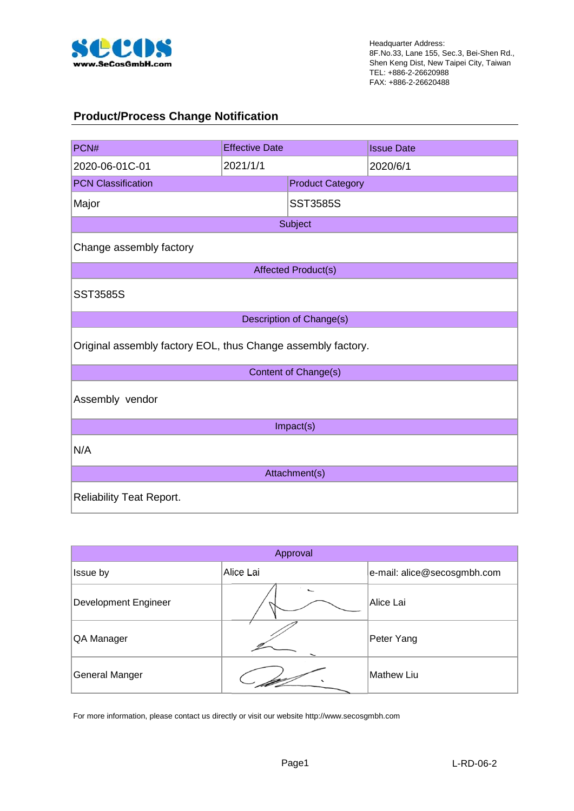

#### **Product/Process Change Notification**

| PCN#                                                         | <b>Effective Date</b> |                                 | <b>Issue Date</b> |  |  |  |  |  |
|--------------------------------------------------------------|-----------------------|---------------------------------|-------------------|--|--|--|--|--|
| 2020-06-01C-01                                               | 2021/1/1              |                                 | 2020/6/1          |  |  |  |  |  |
| <b>PCN Classification</b>                                    |                       | <b>Product Category</b>         |                   |  |  |  |  |  |
| Major                                                        |                       | <b>SST3585S</b>                 |                   |  |  |  |  |  |
|                                                              |                       | Subject                         |                   |  |  |  |  |  |
| Change assembly factory                                      |                       |                                 |                   |  |  |  |  |  |
|                                                              |                       | <b>Affected Product(s)</b>      |                   |  |  |  |  |  |
| <b>SST3585S</b>                                              |                       |                                 |                   |  |  |  |  |  |
|                                                              |                       | <b>Description of Change(s)</b> |                   |  |  |  |  |  |
| Original assembly factory EOL, thus Change assembly factory. |                       |                                 |                   |  |  |  |  |  |
|                                                              |                       | Content of Change(s)            |                   |  |  |  |  |  |
| Assembly vendor                                              |                       |                                 |                   |  |  |  |  |  |
|                                                              |                       | Impact(s)                       |                   |  |  |  |  |  |
| N/A                                                          |                       |                                 |                   |  |  |  |  |  |
| Attachment(s)                                                |                       |                                 |                   |  |  |  |  |  |
| <b>Reliability Teat Report.</b>                              |                       |                                 |                   |  |  |  |  |  |

|                             | Approval  |                             |
|-----------------------------|-----------|-----------------------------|
| Issue by                    | Alice Lai | e-mail: alice@secosgmbh.com |
| <b>Development Engineer</b> |           | Alice Lai                   |
| QA Manager                  |           | Peter Yang                  |
| General Manger              |           | Mathew Liu                  |

For more information, please contact us directly or visit our website http://www.secosgmbh.com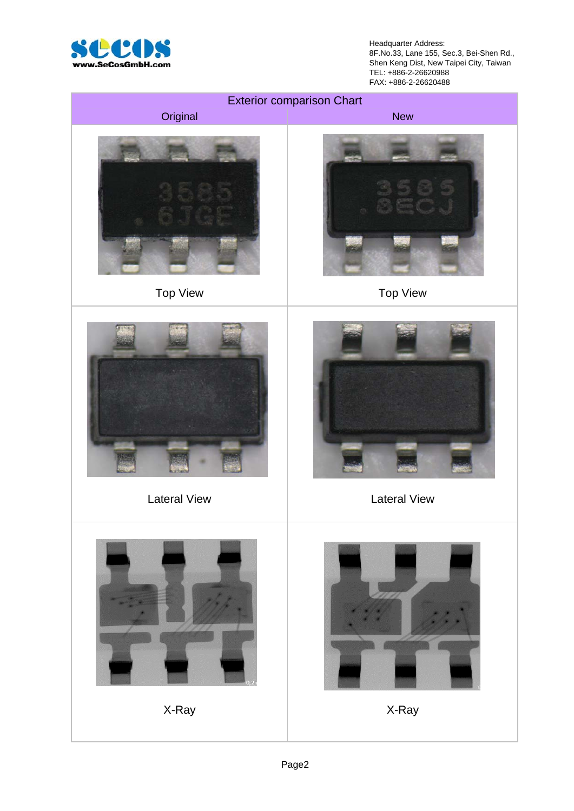

Headquarter Address: 8F.No.33, Lane 155, Sec.3, Bei-Shen Rd., Shen Keng Dist, New Taipei City, Taiwan TEL: +886-2-26620988 FAX: +886-2-26620488

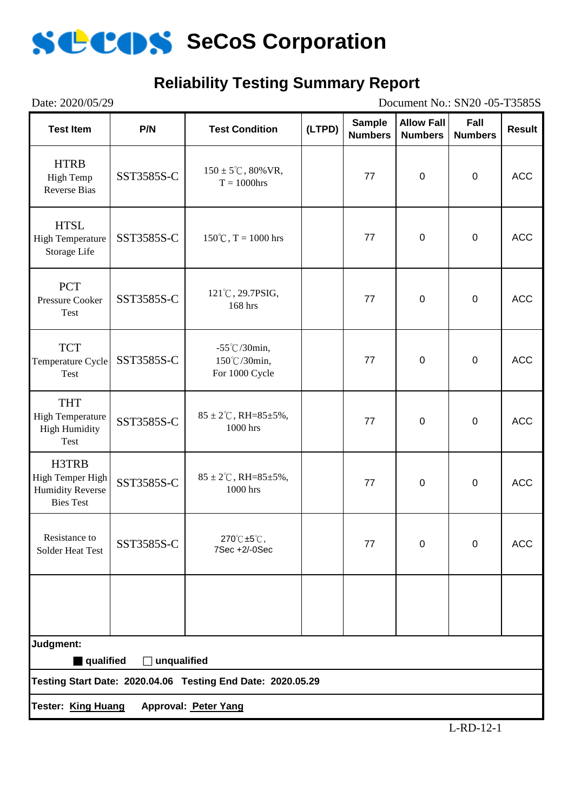

#### **Reliability Testing Summary Report**

| Date: 2020/05/29                                                         |                    |                                                             |        |                                 | Document No.: SN20 -05-T3585S       |                        |               |
|--------------------------------------------------------------------------|--------------------|-------------------------------------------------------------|--------|---------------------------------|-------------------------------------|------------------------|---------------|
| <b>Test Item</b>                                                         | P/N                | <b>Test Condition</b>                                       | (LTPD) | <b>Sample</b><br><b>Numbers</b> | <b>Allow Fall</b><br><b>Numbers</b> | Fall<br><b>Numbers</b> | <b>Result</b> |
| <b>HTRB</b><br>High Temp<br><b>Reverse Bias</b>                          | SST3585S-C         | $150 \pm 5^{\circ}$ C, 80% VR,<br>$T = 1000$ hrs            |        | 77                              | $\overline{0}$                      | $\mathbf 0$            | <b>ACC</b>    |
| <b>HTSL</b><br><b>High Temperature</b><br>Storage Life                   | SST3585S-C         | $150^{\circ}$ C, T = 1000 hrs                               |        | 77                              | $\boldsymbol{0}$                    | $\mathbf 0$            | <b>ACC</b>    |
| <b>PCT</b><br><b>Pressure Cooker</b><br>Test                             | SST3585S-C         | 121°C, 29.7PSIG,<br>168 hrs                                 |        | 77                              | $\overline{0}$                      | $\mathbf 0$            | <b>ACC</b>    |
| <b>TCT</b><br>Temperature Cycle<br>Test                                  | SST3585S-C         | $-55^{\circ}$ C/30min,<br>150℃/30min,<br>For 1000 Cycle     |        | 77                              | $\boldsymbol{0}$                    | $\mathbf 0$            | <b>ACC</b>    |
| <b>THT</b><br><b>High Temperature</b><br><b>High Humidity</b><br>Test    | SST3585S-C         | $85 \pm 2^{\circ}$ C, RH= $85 \pm 5\%$ ,<br>1000 hrs        |        | 77                              | $\mathbf 0$                         | $\mathbf 0$            | <b>ACC</b>    |
| H3TRB<br>High Temper High<br><b>Humidity Reverse</b><br><b>Bies Test</b> | SST3585S-C         | $85 \pm 2^{\circ}$ C, RH= $85 \pm 5\%$ ,<br>1000 hrs        |        | 77                              | $\overline{0}$                      | $\mathbf 0$            | <b>ACC</b>    |
| Resistance to<br><b>Solder Heat Test</b>                                 | SST3585S-C         | 270℃±5℃,<br>7Sec +2/-0Sec                                   |        | 77                              | $\Omega$                            | $\overline{0}$         | <b>ACC</b>    |
|                                                                          |                    |                                                             |        |                                 |                                     |                        |               |
| Judgment:                                                                |                    |                                                             |        |                                 |                                     |                        |               |
| qualified                                                                | $\Box$ unqualified | Testing Start Date: 2020.04.06 Testing End Date: 2020.05.29 |        |                                 |                                     |                        |               |
| <b>Tester: King Huang</b>                                                |                    | Approval: Peter Yang                                        |        |                                 |                                     |                        |               |
|                                                                          |                    |                                                             |        |                                 |                                     |                        |               |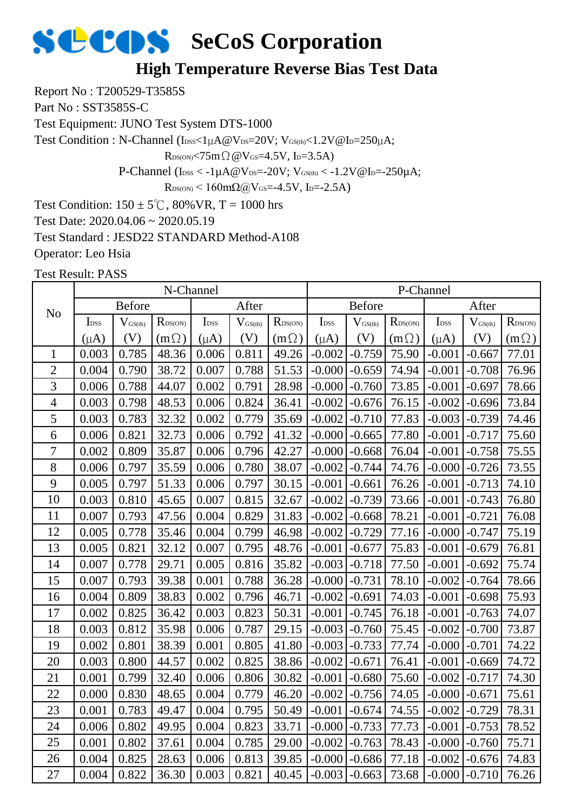#### **High Temperature Reverse Bias Test Data**

Report No : T200529-T3585S

Part No : SST3585S-C

Test Equipment: JUNO Test System DTS-1000

Test Condition : N-Channel (IDSS<1µA@VDS=20V; VGS(th)<1.2V@ID=250µA;

 $R_{DS(ON)}$ <75m $\Omega$  @V $_{GS}$ =4.5V, I<sub>D</sub>=3.5A)

P-Channel ( $I_{DSS} < -1\mu A @V_{DS} = -20V$ ;  $V_{GS(th)} < -1.2V @I_{D} = -250\mu A$ ;

 $R_{DS(ON)}$  < 160mΩ@V<sub>GS</sub>=-4.5V, I<sub>D</sub>=-2.5A)

Test Condition:  $150 \pm 5^{\circ}$ C,  $80\%$  VR, T = 1000 hrs

Test Date: 2020.04.06 ~ 2020.05.19

Test Standard : JESD22 STANDARD Method-A108

Operator: Leo Hsia

|                |                                                                                                              |       | N-Channel    |           |                     |                     |                   |               |             | P-Channel        |                     |                  |
|----------------|--------------------------------------------------------------------------------------------------------------|-------|--------------|-----------|---------------------|---------------------|-------------------|---------------|-------------|------------------|---------------------|------------------|
| N <sub>o</sub> | <b>Before</b><br>After<br>I <sub>DSS</sub><br>$R_{\text{DS(ON)}}$<br>I <sub>DSS</sub><br>$V_{\text{GS(th)}}$ |       |              |           |                     |                     |                   | <b>Before</b> |             |                  | After               |                  |
|                |                                                                                                              |       |              |           | $V_{\text{GS(th)}}$ | $R_{\text{DS(ON)}}$ | I <sub>DSS</sub>  | $V_{GS(th)}$  | RDS(ON)     | I <sub>DSS</sub> | $V_{\text{GS(th)}}$ | $R_{\rm DS(ON)}$ |
|                | $(\mu A)$                                                                                                    | (V)   | $(m \Omega)$ | $(\mu A)$ | (V)                 | $(m\Omega)$         | $(\mu A)$         | (V)           | $(m\Omega)$ | $(\mu A)$        | (V)                 | $(m\Omega)$      |
| $\mathbf{1}$   | 0.003                                                                                                        | 0.785 | 48.36        | 0.006     | 0.811               | 49.26               | $-0.002$          | $-0.759$      | 75.90       | $-0.001$         | $-0.667$            | 77.01            |
| $\overline{2}$ | 0.004                                                                                                        | 0.790 | 38.72        | 0.007     | 0.788               | 51.53               | $-0.000$          | $-0.659$      | 74.94       | $-0.001$         | $-0.708$            | 76.96            |
| 3              | 0.006                                                                                                        | 0.788 | 44.07        | 0.002     | 0.791               | 28.98               | $-0.000$          | $-0.760$      | 73.85       | $-0.001$         | $-0.697$            | 78.66            |
| $\overline{4}$ | 0.003                                                                                                        | 0.798 | 48.53        | 0.006     | 0.824               | 36.41               | $-0.002$          | $-0.676$      | 76.15       | $-0.002$         | $-0.696$            | 73.84            |
| 5              | 0.003                                                                                                        | 0.783 | 32.32        | 0.002     | 0.779               | 35.69               | $-0.002$          | $-0.710$      | 77.83       | $-0.003$         | $-0.739$            | 74.46            |
| 6              | 0.006                                                                                                        | 0.821 | 32.73        | 0.006     | 0.792               | 41.32               | $-0.000$          | $-0.665$      | 77.80       | $-0.001$         | $-0.717$            | 75.60            |
| $\overline{7}$ | 0.002                                                                                                        | 0.809 | 35.87        | 0.006     | 0.796               | 42.27               | $-0.000$          | $-0.668$      | 76.04       | $-0.001$         | $-0.758$            | 75.55            |
| 8              | 0.006                                                                                                        | 0.797 | 35.59        | 0.006     | 0.780               | 38.07               | $-0.002$          | $-0.744$      | 74.76       | $-0.000$         | $-0.726$            | 73.55            |
| 9              | 0.005                                                                                                        | 0.797 | 51.33        | 0.006     | 0.797               | 30.15               | $-0.001$          | $-0.661$      | 76.26       | $-0.001$         | $-0.713$            | 74.10            |
| 10             | 0.003                                                                                                        | 0.810 | 45.65        | 0.007     | 0.815               | 32.67               | $-0.002$          | $-0.739$      | 73.66       | $-0.001$         | $-0.743$            | 76.80            |
| 11             | 0.007                                                                                                        | 0.793 | 47.56        | 0.004     | 0.829               | 31.83               | $-0.002$          | $-0.668$      | 78.21       | $-0.001$         | $-0.721$            | 76.08            |
| 12             | 0.005                                                                                                        | 0.778 | 35.46        | 0.004     | 0.799               | 46.98               | $-0.002$          | $-0.729$      | 77.16       | $-0.000$         | $-0.747$            | 75.19            |
| 13             | 0.005                                                                                                        | 0.821 | 32.12        | 0.007     | 0.795               | 48.76               | $-0.001$          | $-0.677$      | 75.83       | $-0.001$         | $-0.679$            | 76.81            |
| 14             | 0.007                                                                                                        | 0.778 | 29.71        | 0.005     | 0.816               | 35.82               | $-0.003$          | $-0.718$      | 77.50       | $-0.001$         | $-0.692$            | 75.74            |
| 15             | 0.007                                                                                                        | 0.793 | 39.38        | 0.001     | 0.788               | 36.28               | $-0.000$          | $-0.731$      | 78.10       | $-0.002$         | $-0.764$            | 78.66            |
| 16             | 0.004                                                                                                        | 0.809 | 38.83        | 0.002     | 0.796               | 46.71               | $-0.002$          | $-0.691$      | 74.03       | $-0.001$         | $-0.698$            | 75.93            |
| 17             | 0.002                                                                                                        | 0.825 | 36.42        | 0.003     | 0.823               | 50.31               | $-0.001$          | $-0.745$      | 76.18       | $-0.001$         | $-0.763$            | 74.07            |
| 18             | 0.003                                                                                                        | 0.812 | 35.98        | 0.006     | 0.787               | 29.15               | $-0.003$          | $-0.760$      | 75.45       | $-0.002$         | $-0.700$            | 73.87            |
| 19             | 0.002                                                                                                        | 0.801 | 38.39        | 0.001     | 0.805               | 41.80               | $-0.003$          | $-0.733$      | 77.74       | $-0.000$         | $-0.701$            | 74.22            |
| 20             | 0.003                                                                                                        | 0.800 | 44.57        | 0.002     | 0.825               | 38.86               | $-0.002$          | $-0.671$      | 76.41       | $-0.001$         | $-0.669$            | 74.72            |
| 21             | 0.001                                                                                                        | 0.799 | 32.40        | 0.006     | 0.806               | 30.82               | $-0.001$          | $-0.680$      | 75.60       | $-0.002$         | $-0.717$            | 74.30            |
| 22             | 0.000                                                                                                        | 0.830 | 48.65        | 0.004     | 0.779               | 46.20               | $-0.002$          | $-0.756$      | 74.05       | $-0.000$         | $-0.671$            | 75.61            |
| 23             | 0.001                                                                                                        | 0.783 | 49.47        | 0.004     | 0.795               | 50.49               | $-0.001$          | $-0.674$      | 74.55       | $-0.002$         | $-0.729$            | 78.31            |
| 24             | 0.006                                                                                                        | 0.802 | 49.95        | 0.004     | 0.823               | 33.71               | $-0.000$          | $-0.733$      | 77.73       | $-0.001$         | $-0.753$            | 78.52            |
| 25             | 0.001                                                                                                        | 0.802 | 37.61        | 0.004     | 0.785               | 29.00               | $-0.002$          | $-0.763$      | 78.43       | $-0.000$         | $-0.760$            | 75.71            |
| 26             | 0.004                                                                                                        | 0.825 | 28.63        | 0.006     | 0.813               | 39.85               | $-0.000$          | $-0.686$      | 77.18       | $-0.002$         | $-0.676$            | 74.83            |
| 27             | 0.004                                                                                                        | 0.822 | 36.30        | 0.003     | 0.821               | 40.45               | $-0.003$ $-0.663$ |               | 73.68       | $-0.000$         | $-0.710$            | 76.26            |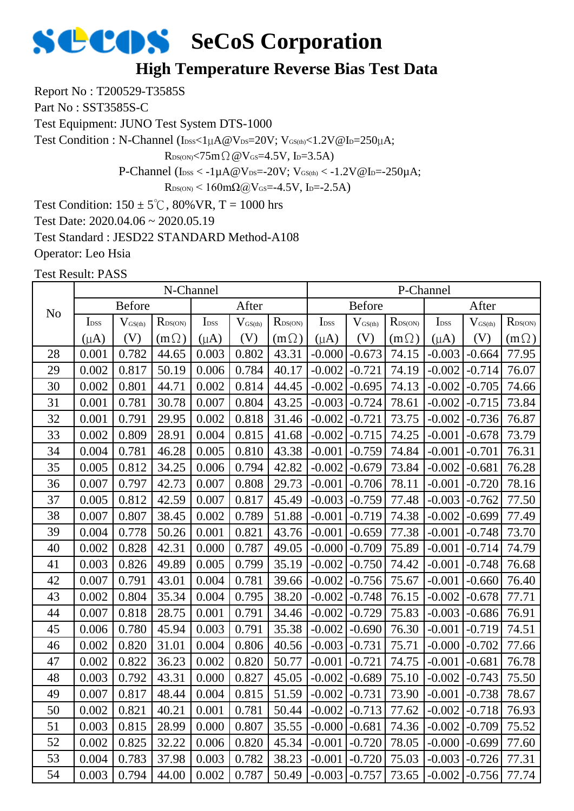#### **High Temperature Reverse Bias Test Data**

Report No : T200529-T3585S

Part No : SST3585S-C

Test Equipment: JUNO Test System DTS-1000

Test Condition : N-Channel (IDSS<1µA@VDS=20V; VGS(th)<1.2V@ID=250µA;

 $R_{DS(ON)}$ <75m $\Omega$  @V $_{GS}$ =4.5V, I<sub>D</sub>=3.5A)

P-Channel ( $I_{DSS} < -1\mu A @V_{DS} = -20V$ ;  $V_{GS(th)} < -1.2V @I_{D} = -250\mu A$ ;

 $R_{DS(ON)}$  < 160mΩ@V<sub>GS</sub>=-4.5V, I<sub>D</sub>=-2.5A)

Test Condition:  $150 \pm 5^{\circ}$ C,  $80\%$  VR, T = 1000 hrs

Test Date: 2020.04.06 ~ 2020.05.19

Test Standard : JESD22 STANDARD Method-A108

Operator: Leo Hsia

|                |                                                                                                                       |       | N-Channel   |           |                     |                  |                  |                              |                  | P-Channel        |                     |                  |
|----------------|-----------------------------------------------------------------------------------------------------------------------|-------|-------------|-----------|---------------------|------------------|------------------|------------------------------|------------------|------------------|---------------------|------------------|
| N <sub>o</sub> | <b>Before</b><br>$R_{\text{DS}(\text{ON})}$<br>I <sub>DSS</sub><br>$\mathbf{L}_{\mathrm{DSS}}$<br>$V_{\text{GS(th)}}$ |       |             |           | After               |                  |                  | <b>Before</b>                |                  |                  | After               |                  |
|                |                                                                                                                       |       |             |           | $V_{\text{GS(th)}}$ | $R_{\rm DS(ON)}$ | I <sub>DSS</sub> | $\mathbf{V}_{\text{GS(th)}}$ | $R_{\rm DS(ON)}$ | I <sub>DSS</sub> | $V_{\text{GS(th)}}$ | $R_{\rm DS(ON)}$ |
|                | $(\mu A)$                                                                                                             | (V)   | $(m\Omega)$ | $(\mu A)$ | (V)                 | $(m\Omega)$      | $(\mu A)$        | (V)                          | $(m\Omega)$      | $(\mu A)$        | (V)                 | $(m\Omega)$      |
| 28             | 0.001                                                                                                                 | 0.782 | 44.65       | 0.003     | 0.802               | 43.31            | $-0.000$         | $-0.673$                     | 74.15            | $-0.003$         | $-0.664$            | 77.95            |
| 29             | 0.002                                                                                                                 | 0.817 | 50.19       | 0.006     | 0.784               | 40.17            | $-0.002$         | $-0.721$                     | 74.19            | $-0.002$         | $-0.714$            | 76.07            |
| 30             | 0.002                                                                                                                 | 0.801 | 44.71       | 0.002     | 0.814               | 44.45            | $-0.002$         | $-0.695$                     | 74.13            | $-0.002$         | $-0.705$            | 74.66            |
| 31             | 0.001                                                                                                                 | 0.781 | 30.78       | 0.007     | 0.804               | 43.25            | $-0.003$         | $-0.724$                     | 78.61            | $-0.002$         | $-0.715$            | 73.84            |
| 32             | 0.001                                                                                                                 | 0.791 | 29.95       | 0.002     | 0.818               | 31.46            | $-0.002$         | $-0.721$                     | 73.75            | $-0.002$         | $-0.736$            | 76.87            |
| 33             | 0.002                                                                                                                 | 0.809 | 28.91       | 0.004     | 0.815               | 41.68            | $-0.002$         | $-0.715$                     | 74.25            | $-0.001$         | $-0.678$            | 73.79            |
| 34             | 0.004                                                                                                                 | 0.781 | 46.28       | 0.005     | 0.810               | 43.38            | $-0.001$         | $-0.759$                     | 74.84            | $-0.001$         | $-0.701$            | 76.31            |
| 35             | 0.005                                                                                                                 | 0.812 | 34.25       | 0.006     | 0.794               | 42.82            | $-0.002$         | $-0.679$                     | 73.84            | $-0.002$         | $-0.681$            | 76.28            |
| 36             | 0.007                                                                                                                 | 0.797 | 42.73       | 0.007     | 0.808               | 29.73            | $-0.001$         | $-0.706$                     | 78.11            | $-0.001$         | $-0.720$            | 78.16            |
| 37             | 0.005                                                                                                                 | 0.812 | 42.59       | 0.007     | 0.817               | 45.49            | $-0.003$         | $-0.759$                     | 77.48            | $-0.003$         | $-0.762$            | 77.50            |
| 38             | 0.007                                                                                                                 | 0.807 | 38.45       | 0.002     | 0.789               | 51.88            | $-0.001$         | $-0.719$                     | 74.38            | $-0.002$         | $-0.699$            | 77.49            |
| 39             | 0.004                                                                                                                 | 0.778 | 50.26       | 0.001     | 0.821               | 43.76            | $-0.001$         | $-0.659$                     | 77.38            | $-0.001$         | $-0.748$            | 73.70            |
| 40             | 0.002                                                                                                                 | 0.828 | 42.31       | 0.000     | 0.787               | 49.05            | $-0.000$         | $-0.709$                     | 75.89            | $-0.001$         | $-0.714$            | 74.79            |
| 41             | 0.003                                                                                                                 | 0.826 | 49.89       | 0.005     | 0.799               | 35.19            | $-0.002$         | $-0.750$                     | 74.42            | $-0.001$         | $-0.748$            | 76.68            |
| 42             | 0.007                                                                                                                 | 0.791 | 43.01       | 0.004     | 0.781               | 39.66            | $-0.002$         | $-0.756$                     | 75.67            | $-0.001$         | $-0.660$            | 76.40            |
| 43             | 0.002                                                                                                                 | 0.804 | 35.34       | 0.004     | 0.795               | 38.20            | $-0.002$         | $-0.748$                     | 76.15            | $-0.002$         | $-0.678$            | 77.71            |
| 44             | 0.007                                                                                                                 | 0.818 | 28.75       | 0.001     | 0.791               | 34.46            | $-0.002$         | $-0.729$                     | 75.83            | $-0.003$         | $-0.686$            | 76.91            |
| 45             | 0.006                                                                                                                 | 0.780 | 45.94       | 0.003     | 0.791               | 35.38            | $-0.002$         | $-0.690$                     | 76.30            | $-0.001$         | $-0.719$            | 74.51            |
| 46             | 0.002                                                                                                                 | 0.820 | 31.01       | 0.004     | 0.806               | 40.56            | $-0.003$         | $-0.731$                     | 75.71            | $-0.000$         | $-0.702$            | 77.66            |
| 47             | 0.002                                                                                                                 | 0.822 | 36.23       | 0.002     | 0.820               | 50.77            | $-0.001$         | $-0.721$                     | 74.75            | $-0.001$         | $-0.681$            | 76.78            |
| 48             | 0.003                                                                                                                 | 0.792 | 43.31       | 0.000     | 0.827               | 45.05            | $-0.002$         | $-0.689$                     | 75.10            | $-0.002$         | $-0.743$            | 75.50            |
| 49             | 0.007                                                                                                                 | 0.817 | 48.44       | 0.004     | 0.815               | 51.59            | $-0.002$         | $-0.731$                     | 73.90            | $-0.001$         | $-0.738$            | 78.67            |
| 50             | 0.002                                                                                                                 | 0.821 | 40.21       | 0.001     | 0.781               | 50.44            | $-0.002$         | $-0.713$                     | 77.62            | $-0.002$         | $-0.718$            | 76.93            |
| 51             | 0.003                                                                                                                 | 0.815 | 28.99       | 0.000     | 0.807               | 35.55            | $-0.000$         | $-0.681$                     | 74.36            | $-0.002$         | $-0.709$            | 75.52            |
| 52             | 0.002                                                                                                                 | 0.825 | 32.22       | 0.006     | 0.820               | 45.34            | $-0.001$         | $-0.720$                     | 78.05            | $-0.000$         | $-0.699$            | 77.60            |
| 53             | 0.004                                                                                                                 | 0.783 | 37.98       | 0.003     | 0.782               | 38.23            | $-0.001$         | $-0.720$                     | 75.03            | $-0.003$         | $-0.726$            | 77.31            |
| 54             | 0.003                                                                                                                 | 0.794 | 44.00       | 0.002     | 0.787               | 50.49            | $-0.003$         | $-0.757$                     | 73.65            | $-0.002$         | $-0.756$            | 77.74            |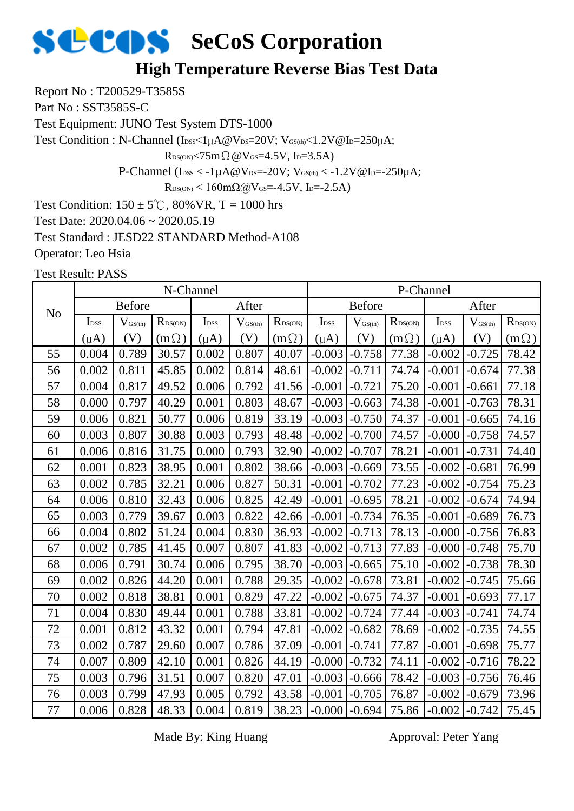#### **High Temperature Reverse Bias Test Data**

Report No : T200529-T3585S

Part No : SST3585S-C

Test Equipment: JUNO Test System DTS-1000

Test Condition : N-Channel (IDSS<1µA@VDS=20V; VGS(th)<1.2V@ID=250µA;

 $R_{DS(ON)} < 75m \Omega \omega V_{GS} = 4.5V$ , I<sub>D</sub>=3.5A)

P-Channel ( $I_{\text{DSS}} < -1 \mu A @V_{\text{DS}} = -20 V$ ;  $V_{\text{GS(th)}} < -1.2 V @I_{\text{D}} = -250 \mu A$ ;

 $R_{DS(ON)}$  < 160mΩ@V<sub>GS</sub>=-4.5V, I<sub>D</sub>=-2.5A)

Test Condition:  $150 \pm 5^{\circ}$ C,  $80\%$  VR, T = 1000 hrs

Test Date: 2020.04.06 ~ 2020.05.19

Test Standard : JESD22 STANDARD Method-A108

Operator: Leo Hsia

Test Result: PASS

|                |                  |                                                                                                          | N-Channel   |           |       |              |                  |                     |                  | P-Channel        |                     |                  |
|----------------|------------------|----------------------------------------------------------------------------------------------------------|-------------|-----------|-------|--------------|------------------|---------------------|------------------|------------------|---------------------|------------------|
| N <sub>o</sub> |                  | <b>Before</b><br>After<br>I <sub>DSS</sub><br>$R_{DS(ON)}$<br>$V_{\text{GS(th)}}$<br>$V_{\text{GS(th)}}$ |             |           |       |              |                  | <b>Before</b>       |                  |                  | After               |                  |
|                | I <sub>DSS</sub> |                                                                                                          |             |           |       | $R_{DS(ON)}$ | I <sub>DSS</sub> | $V_{\text{GS(th)}}$ | $R_{\rm DS(ON)}$ | I <sub>DSS</sub> | $V_{\text{GS(th)}}$ | $R_{\rm DS(ON)}$ |
|                | $(\mu A)$        | (V)                                                                                                      | $(m\Omega)$ | $(\mu A)$ | (V)   | $(m\Omega)$  | $(\mu A)$        | (V)                 | $(m\Omega)$      | $(\mu A)$        | (V)                 | $(m\Omega)$      |
| 55             | 0.004            | 0.789                                                                                                    | 30.57       | 0.002     | 0.807 | 40.07        | $-0.003$         | $-0.758$            | 77.38            | $-0.002$         | $-0.725$            | 78.42            |
| 56             | 0.002            | 0.811                                                                                                    | 45.85       | 0.002     | 0.814 | 48.61        | $-0.002$         | $-0.711$            | 74.74            | $-0.001$         | $-0.674$            | 77.38            |
| 57             | 0.004            | 0.817                                                                                                    | 49.52       | 0.006     | 0.792 | 41.56        | $-0.001$         | $-0.721$            | 75.20            | $-0.001$         | $-0.661$            | 77.18            |
| 58             | 0.000            | 0.797                                                                                                    | 40.29       | 0.001     | 0.803 | 48.67        | $-0.003$         | $-0.663$            | 74.38            | $-0.001$         | $-0.763$            | 78.31            |
| 59             | 0.006            | 0.821                                                                                                    | 50.77       | 0.006     | 0.819 | 33.19        | $-0.003$         | $-0.750$            | 74.37            | $-0.001$         | $-0.665$            | 74.16            |
| 60             | 0.003            | 0.807                                                                                                    | 30.88       | 0.003     | 0.793 | 48.48        | $-0.002$         | $-0.700$            | 74.57            | $-0.000$         | $-0.758$            | 74.57            |
| 61             | 0.006            | 0.816                                                                                                    | 31.75       | 0.000     | 0.793 | 32.90        | $-0.002$         | $-0.707$            | 78.21            | $-0.001$         | $-0.731$            | 74.40            |
| 62             | 0.001            | 0.823                                                                                                    | 38.95       | 0.001     | 0.802 | 38.66        | $-0.003$         | $-0.669$            | 73.55            | $-0.002$         | $-0.681$            | 76.99            |
| 63             | 0.002            | 0.785                                                                                                    | 32.21       | 0.006     | 0.827 | 50.31        | $-0.001$         | $-0.702$            | 77.23            | $-0.002$         | $-0.754$            | 75.23            |
| 64             | 0.006            | 0.810                                                                                                    | 32.43       | 0.006     | 0.825 | 42.49        | $-0.001$         | $-0.695$            | 78.21            | $-0.002$         | $-0.674$            | 74.94            |
| 65             | 0.003            | 0.779                                                                                                    | 39.67       | 0.003     | 0.822 | 42.66        | $-0.001$         | $-0.734$            | 76.35            | $-0.001$         | $-0.689$            | 76.73            |
| 66             | 0.004            | 0.802                                                                                                    | 51.24       | 0.004     | 0.830 | 36.93        | $-0.002$         | $-0.713$            | 78.13            | $-0.000$         | $-0.756$            | 76.83            |
| 67             | 0.002            | 0.785                                                                                                    | 41.45       | 0.007     | 0.807 | 41.83        | $-0.002$         | $-0.713$            | 77.83            | $-0.000$         | $-0.748$            | 75.70            |
| 68             | 0.006            | 0.791                                                                                                    | 30.74       | 0.006     | 0.795 | 38.70        | $-0.003$         | $-0.665$            | 75.10            | $-0.002$         | $-0.738$            | 78.30            |
| 69             | 0.002            | 0.826                                                                                                    | 44.20       | 0.001     | 0.788 | 29.35        | $-0.002$         | $-0.678$            | 73.81            | $-0.002$         | $-0.745$            | 75.66            |
| 70             | 0.002            | 0.818                                                                                                    | 38.81       | 0.001     | 0.829 | 47.22        | $-0.002$         | $-0.675$            | 74.37            | $-0.001$         | $-0.693$            | 77.17            |
| 71             | 0.004            | 0.830                                                                                                    | 49.44       | 0.001     | 0.788 | 33.81        | $-0.002$         | $-0.724$            | 77.44            | $-0.003$         | $-0.741$            | 74.74            |
| 72             | 0.001            | 0.812                                                                                                    | 43.32       | 0.001     | 0.794 | 47.81        | $-0.002$         | $-0.682$            | 78.69            | $-0.002$         | $-0.735$            | 74.55            |
| 73             | 0.002            | 0.787                                                                                                    | 29.60       | 0.007     | 0.786 | 37.09        | $-0.001$         | $-0.741$            | 77.87            | $-0.001$         | $-0.698$            | 75.77            |
| 74             | 0.007            | 0.809                                                                                                    | 42.10       | 0.001     | 0.826 | 44.19        | $-0.000$         | $-0.732$            | 74.11            | $-0.002$         | $-0.716$            | 78.22            |
| 75             | 0.003            | 0.796                                                                                                    | 31.51       | 0.007     | 0.820 | 47.01        | $-0.003$         | $-0.666$            | 78.42            | $-0.003$         | $-0.756$            | 76.46            |
| 76             | 0.003            | 0.799                                                                                                    | 47.93       | 0.005     | 0.792 | 43.58        | $-0.001$         | $-0.705$            | 76.87            | $-0.002$         | $-0.679$            | 73.96            |
| 77             | 0.006            | 0.828                                                                                                    | 48.33       | 0.004     | 0.819 | 38.23        | $-0.000$         | $-0.694$            | 75.86            | $-0.002$         | $-0.742$            | 75.45            |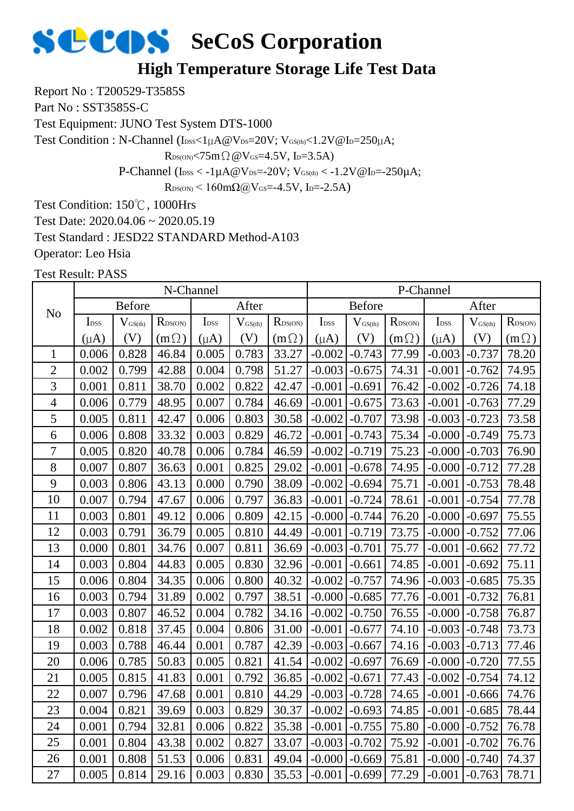#### **High Temperature Storage Life Test Data**

Report No : T200529-T3585S

Part No : SST3585S-C

Test Equipment: JUNO Test System DTS-1000

Test Condition : N-Channel (IDSS<1µA@VDS=20V; VGS(th)<1.2V@ID=250µA;

 $R_{DS(ON)}$ <75m $\Omega$  @V $_{GS}$ =4.5V, I<sub>D</sub>=3.5A)

P-Channel ( $I_{\text{DSS}} < -1 \mu A @V_{\text{DS}} = -20 V$ ;  $V_{\text{GS(th}} < -1.2 V @I_{\text{D}} = -250 \mu A$ ;

 $R_{DS(ON)}$  < 160mΩ@V<sub>GS</sub>=-4.5V, I<sub>D</sub>=-2.5A)

Test Condition: 150℃, 1000Hrs

Test Date: 2020.04.06 ~ 2020.05.19

Test Standard : JESD22 STANDARD Method-A103

Operator: Leo Hsia

|                |                  |                     | N-Channel    |                  |                     |              |                  |               |                     | P-Channel        |                     |                  |
|----------------|------------------|---------------------|--------------|------------------|---------------------|--------------|------------------|---------------|---------------------|------------------|---------------------|------------------|
| N <sub>o</sub> |                  | <b>Before</b>       |              |                  | After               |              |                  | <b>Before</b> |                     |                  | After               |                  |
|                | I <sub>DSS</sub> | $V_{\text{GS(th)}}$ | $R_{DS(ON)}$ | I <sub>DSS</sub> | $V_{\text{GS(th)}}$ | $R_{DS(ON)}$ | I <sub>DSS</sub> | $V_{GS(th)}$  | R <sub>DS(ON)</sub> | I <sub>DSS</sub> | $V_{\text{GS(th)}}$ | $R_{\rm DS(ON)}$ |
|                | $(\mu A)$        | (V)                 | $(m \Omega)$ | $(\mu A)$        | (V)                 | $(m\Omega)$  | $(\mu A)$        | (V)           | $(m\Omega)$         | $(\mu A)$        | (V)                 | $(m\Omega)$      |
| $\mathbf{1}$   | 0.006            | 0.828               | 46.84        | 0.005            | 0.783               | 33.27        | $-0.002$         | $-0.743$      | 77.99               | $-0.003$         | $-0.737$            | 78.20            |
| $\mathbf{2}$   | 0.002            | 0.799               | 42.88        | 0.004            | 0.798               | 51.27        | $-0.003$         | $-0.675$      | 74.31               | $-0.001$         | $-0.762$            | 74.95            |
| 3              | 0.001            | 0.811               | 38.70        | 0.002            | 0.822               | 42.47        | $-0.001$         | $-0.691$      | 76.42               | $-0.002$         | $-0.726$            | 74.18            |
| $\overline{4}$ | 0.006            | 0.779               | 48.95        | 0.007            | 0.784               | 46.69        | $-0.001$         | $-0.675$      | 73.63               | $-0.001$         | $-0.763$            | 77.29            |
| 5              | 0.005            | 0.811               | 42.47        | 0.006            | 0.803               | 30.58        | $-0.002$         | $-0.707$      | 73.98               | $-0.003$         | $-0.723$            | 73.58            |
| 6              | 0.006            | 0.808               | 33.32        | 0.003            | 0.829               | 46.72        | $-0.001$         | $-0.743$      | 75.34               | $-0.000$         | $-0.749$            | 75.73            |
| 7              | 0.005            | 0.820               | 40.78        | 0.006            | 0.784               | 46.59        | $-0.002$         | $-0.719$      | 75.23               | $-0.000$         | $-0.703$            | 76.90            |
| 8              | 0.007            | 0.807               | 36.63        | 0.001            | 0.825               | 29.02        | $-0.001$         | $-0.678$      | 74.95               | $-0.000$         | $-0.712$            | 77.28            |
| 9              | 0.003            | 0.806               | 43.13        | 0.000            | 0.790               | 38.09        | $-0.002$         | $-0.694$      | 75.71               | $-0.001$         | $-0.753$            | 78.48            |
| 10             | 0.007            | 0.794               | 47.67        | 0.006            | 0.797               | 36.83        | $-0.001$         | $-0.724$      | 78.61               | $-0.001$         | $-0.754$            | 77.78            |
| 11             | 0.003            | 0.801               | 49.12        | 0.006            | 0.809               | 42.15        | $-0.000$         | $-0.744$      | 76.20               | $-0.000$         | $-0.697$            | 75.55            |
| 12             | 0.003            | 0.791               | 36.79        | 0.005            | 0.810               | 44.49        | $-0.001$         | $-0.719$      | 73.75               | $-0.000$         | $-0.752$            | 77.06            |
| 13             | 0.000            | 0.801               | 34.76        | 0.007            | 0.811               | 36.69        | $-0.003$         | $-0.701$      | 75.77               | $-0.001$         | $-0.662$            | 77.72            |
| 14             | 0.003            | 0.804               | 44.83        | 0.005            | 0.830               | 32.96        | $-0.001$         | $-0.661$      | 74.85               | $-0.001$         | $-0.692$            | 75.11            |
| 15             | 0.006            | 0.804               | 34.35        | 0.006            | 0.800               | 40.32        | $-0.002$         | $-0.757$      | 74.96               | $-0.003$         | $-0.685$            | 75.35            |
| 16             | 0.003            | 0.794               | 31.89        | 0.002            | 0.797               | 38.51        | $-0.000$         | $-0.685$      | 77.76               | $-0.001$         | $-0.732$            | 76.81            |
| 17             | 0.003            | 0.807               | 46.52        | 0.004            | 0.782               | 34.16        | $-0.002$         | $-0.750$      | 76.55               | $-0.000$         | $-0.758$            | 76.87            |
| 18             | 0.002            | 0.818               | 37.45        | 0.004            | 0.806               | 31.00        | $-0.001$         | $-0.677$      | 74.10               | $-0.003$         | $-0.748$            | 73.73            |
| 19             | 0.003            | 0.788               | 46.44        | 0.001            | 0.787               | 42.39        | $-0.003$         | $-0.667$      | 74.16               | $-0.003$         | $-0.713$            | 77.46            |
| 20             | 0.006            | 0.785               | 50.83        | 0.005            | 0.821               | 41.54        | $-0.002$         | $-0.697$      | 76.69               | $-0.000$         | $-0.720$            | 77.55            |
| 21             | 0.005            | 0.815               | 41.83        | 0.001            | 0.792               | 36.85        | $-0.002$         | $-0.671$      | 77.43               | $-0.002$         | $-0.754$            | 74.12            |
| 22             | 0.007            | 0.796               | 47.68        | 0.001            | 0.810               | 44.29        | $-0.003$         | $-0.728$      | 74.65               | $-0.001$         | $-0.666$            | 74.76            |
| 23             | 0.004            | 0.821               | 39.69        | 0.003            | 0.829               | 30.37        | $-0.002$         | $-0.693$      | 74.85               | $-0.001$         | $-0.685$            | 78.44            |
| 24             | 0.001            | 0.794               | 32.81        | 0.006            | 0.822               | 35.38        | $-0.001$         | $-0.755$      | 75.80               | $-0.000$         | $-0.752$            | 76.78            |
| 25             | 0.001            | 0.804               | 43.38        | 0.002            | 0.827               | 33.07        | $-0.003$         | $-0.702$      | 75.92               | $-0.001$         | $-0.702$            | 76.76            |
| 26             | 0.001            | 0.808               | 51.53        | 0.006            | 0.831               | 49.04        | $-0.000$         | $-0.669$      | 75.81               | $-0.000$         | $-0.740$            | 74.37            |
| 27             | 0.005            | 0.814               | 29.16        | 0.003            | 0.830               | 35.53        | $-0.001$         | $-0.699$      | 77.29               | $-0.001$         | $-0.763$            | 78.71            |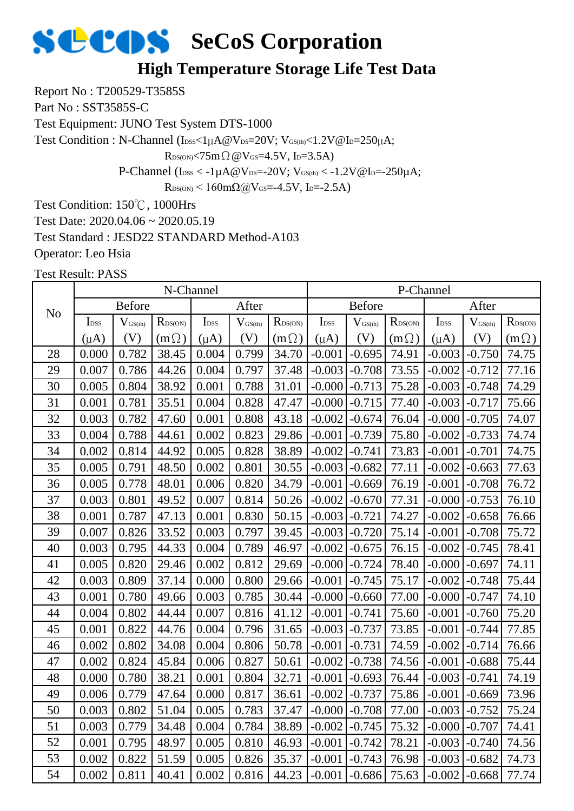#### **High Temperature Storage Life Test Data**

Report No : T200529-T3585S

Part No : SST3585S-C

Test Equipment: JUNO Test System DTS-1000

Test Condition : N-Channel (IDSS<1µA@VDS=20V; VGS(th)<1.2V@ID=250µA;

 $R_{DS(ON)}$ <75m $\Omega$  @V $_{GS}$ =4.5V, I<sub>D</sub>=3.5A)

P-Channel ( $I_{\text{DSS}} < -1 \mu A @V_{\text{DS}} = -20 V$ ;  $V_{\text{GS(th}} < -1.2 V @I_{\text{D}} = -250 \mu A$ ;

 $R_{DS(ON)}$  < 160mΩ@V<sub>GS</sub>=-4.5V, I<sub>D</sub>=-2.5A)

Test Condition: 150℃, 1000Hrs

Test Date: 2020.04.06 ~ 2020.05.19

Test Standard : JESD22 STANDARD Method-A103

Operator: Leo Hsia

|                |                                                                                                     |       | N-Channel   |           |                     |                  |                  |                     | P-Channel           |                  |                     |                  |
|----------------|-----------------------------------------------------------------------------------------------------|-------|-------------|-----------|---------------------|------------------|------------------|---------------------|---------------------|------------------|---------------------|------------------|
| N <sub>o</sub> | <b>Before</b><br>$R_{\text{DS(ON)}}$<br>I <sub>DSS</sub><br>$V_{\text{GS(th)}}$<br>I <sub>DSS</sub> |       |             |           | After               |                  |                  | <b>Before</b>       |                     |                  | After               |                  |
|                |                                                                                                     |       |             |           | $V_{\text{GS(th)}}$ | $R_{\rm DS(ON)}$ | I <sub>DSS</sub> | $V_{\text{GS(th)}}$ | $R_{\text{DS(ON)}}$ | I <sub>DSS</sub> | $V_{\text{GS(th)}}$ | $R_{\rm DS(ON)}$ |
|                | $(\mu A)$                                                                                           | (V)   | $(m\Omega)$ | $(\mu A)$ | (V)                 | $(m\Omega)$      | $(\mu A)$        | (V)                 | $(m\Omega)$         | $(\mu A)$        | (V)                 | $(m\Omega)$      |
| 28             | 0.000                                                                                               | 0.782 | 38.45       | 0.004     | 0.799               | 34.70            | $-0.001$         | $-0.695$            | 74.91               | $-0.003$         | $-0.750$            | 74.75            |
| 29             | 0.007                                                                                               | 0.786 | 44.26       | 0.004     | 0.797               | 37.48            | $-0.003$         | $-0.708$            | 73.55               | $-0.002$         | $-0.712$            | 77.16            |
| 30             | 0.005                                                                                               | 0.804 | 38.92       | 0.001     | 0.788               | 31.01            | $-0.000$         | $-0.713$            | 75.28               | $-0.003$         | $-0.748$            | 74.29            |
| 31             | 0.001                                                                                               | 0.781 | 35.51       | 0.004     | 0.828               | 47.47            | $-0.000$         | $-0.715$            | 77.40               | $-0.003$         | $-0.717$            | 75.66            |
| 32             | 0.003                                                                                               | 0.782 | 47.60       | 0.001     | 0.808               | 43.18            | $-0.002$         | $-0.674$            | 76.04               | $-0.000$         | $-0.705$            | 74.07            |
| 33             | 0.004                                                                                               | 0.788 | 44.61       | 0.002     | 0.823               | 29.86            | $-0.001$         | $-0.739$            | 75.80               | $-0.002$         | $-0.733$            | 74.74            |
| 34             | 0.002                                                                                               | 0.814 | 44.92       | 0.005     | 0.828               | 38.89            | $-0.002$         | $-0.741$            | 73.83               | $-0.001$         | $-0.701$            | 74.75            |
| 35             | 0.005                                                                                               | 0.791 | 48.50       | 0.002     | 0.801               | 30.55            | $-0.003$         | $-0.682$            | 77.11               | $-0.002$         | $-0.663$            | 77.63            |
| 36             | 0.005                                                                                               | 0.778 | 48.01       | 0.006     | 0.820               | 34.79            | $-0.001$         | $-0.669$            | 76.19               | $-0.001$         | $-0.708$            | 76.72            |
| 37             | 0.003                                                                                               | 0.801 | 49.52       | 0.007     | 0.814               | 50.26            | $-0.002$         | $-0.670$            | 77.31               | $-0.000$         | $-0.753$            | 76.10            |
| 38             | 0.001                                                                                               | 0.787 | 47.13       | 0.001     | 0.830               | 50.15            | $-0.003$         | $-0.721$            | 74.27               | $-0.002$         | $-0.658$            | 76.66            |
| 39             | 0.007                                                                                               | 0.826 | 33.52       | 0.003     | 0.797               | 39.45            | $-0.003$         | $-0.720$            | 75.14               | $-0.001$         | $-0.708$            | 75.72            |
| 40             | 0.003                                                                                               | 0.795 | 44.33       | 0.004     | 0.789               | 46.97            | $-0.002$         | $-0.675$            | 76.15               | $-0.002$         | $-0.745$            | 78.41            |
| 41             | 0.005                                                                                               | 0.820 | 29.46       | 0.002     | 0.812               | 29.69            | $-0.000$         | $-0.724$            | 78.40               | $-0.000$         | $-0.697$            | 74.11            |
| 42             | 0.003                                                                                               | 0.809 | 37.14       | 0.000     | 0.800               | 29.66            | $-0.001$         | $-0.745$            | 75.17               | $-0.002$         | $-0.748$            | 75.44            |
| 43             | 0.001                                                                                               | 0.780 | 49.66       | 0.003     | 0.785               | 30.44            | $-0.000$         | $-0.660$            | 77.00               | $-0.000$         | $-0.747$            | 74.10            |
| 44             | 0.004                                                                                               | 0.802 | 44.44       | 0.007     | 0.816               | 41.12            | $-0.001$         | $-0.741$            | 75.60               | $-0.001$         | $-0.760$            | 75.20            |
| 45             | 0.001                                                                                               | 0.822 | 44.76       | 0.004     | 0.796               | 31.65            | $-0.003$         | $-0.737$            | 73.85               | $-0.001$         | $-0.744$            | 77.85            |
| 46             | 0.002                                                                                               | 0.802 | 34.08       | 0.004     | 0.806               | 50.78            | $-0.001$         | $-0.731$            | 74.59               | $-0.002$         | $-0.714$            | 76.66            |
| 47             | 0.002                                                                                               | 0.824 | 45.84       | 0.006     | 0.827               | 50.61            | $-0.002$         | $-0.738$            | 74.56               | $-0.001$         | $-0.688$            | 75.44            |
| 48             | 0.000                                                                                               | 0.780 | 38.21       | 0.001     | 0.804               | 32.71            | $-0.001$         | $-0.693$            | 76.44               | $-0.003$         | $-0.741$            | 74.19            |
| 49             | 0.006                                                                                               | 0.779 | 47.64       | 0.000     | 0.817               | 36.61            | $-0.002$         | $-0.737$            | 75.86               | $-0.001$         | $-0.669$            | 73.96            |
| 50             | 0.003                                                                                               | 0.802 | 51.04       | 0.005     | 0.783               | 37.47            | $-0.000$         | $-0.708$            | 77.00               | $-0.003$         | $-0.752$            | 75.24            |
| 51             | 0.003                                                                                               | 0.779 | 34.48       | 0.004     | 0.784               | 38.89            | $-0.002$         | $-0.745$            | 75.32               | $-0.000$         | $-0.707$            | 74.41            |
| 52             | 0.001                                                                                               | 0.795 | 48.97       | 0.005     | 0.810               | 46.93            | $-0.001$         | $-0.742$            | 78.21               | $-0.003$         | $-0.740$            | 74.56            |
| 53             | 0.002                                                                                               | 0.822 | 51.59       | 0.005     | 0.826               | 35.37            | $-0.001$         | $-0.743$            | 76.98               | $-0.003$         | $-0.682$            | 74.73            |
| 54             | 0.002                                                                                               | 0.811 | 40.41       | 0.002     | 0.816               | 44.23            | $-0.001$         | $-0.686$            | 75.63               | $-0.002$         | $-0.668$            | 77.74            |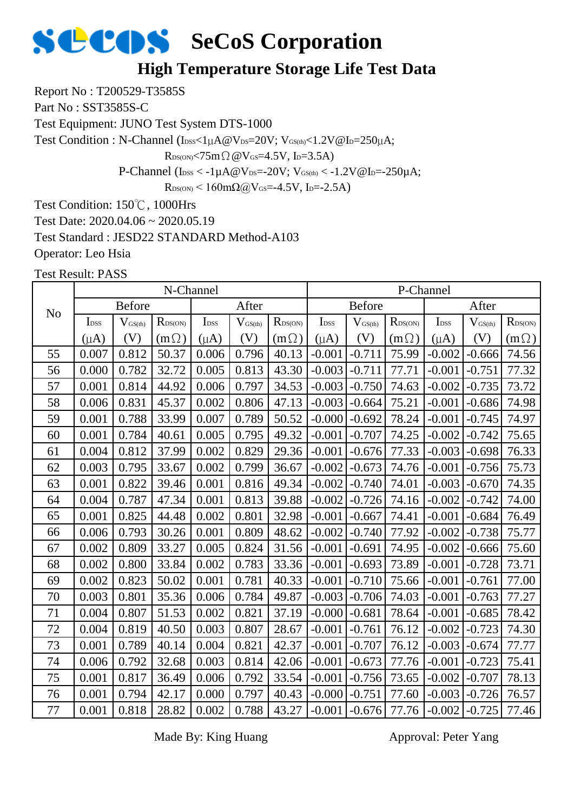#### **High Temperature Storage Life Test Data**

Report No : T200529-T3585S

Part No : SST3585S-C

Test Equipment: JUNO Test System DTS-1000

Test Condition : N-Channel (IDSS<1µA@VDS=20V; VGS(th)<1.2V@ID=250µA;

 $R_{DS(ON)} < 75m \Omega \omega V_{GS} = 4.5V$ , I<sub>D</sub>=3.5A)

P-Channel ( $I_{\text{DSS}} < -1 \mu A @V_{\text{DS}} = -20 V$ ;  $V_{\text{GS(th)}} < -1.2 V @I_{\text{D}} = -250 \mu A$ ;

 $R_{DS(ON)}$  < 160mΩ@V<sub>GS</sub>=-4.5V, I<sub>D</sub>=-2.5A)

Test Condition: 150℃, 1000Hrs

Test Date: 2020.04.06 ~ 2020.05.19

Test Standard : JESD22 STANDARD Method-A103

Operator: Leo Hsia

Test Result: PASS

|                |                  |                     | N-Channel                                                        |           |       |              |                  |                     |                  | P-Channel        |                     |                  |
|----------------|------------------|---------------------|------------------------------------------------------------------|-----------|-------|--------------|------------------|---------------------|------------------|------------------|---------------------|------------------|
| N <sub>o</sub> |                  | <b>Before</b>       | After<br>I <sub>DSS</sub><br>$R_{DS(ON)}$<br>$V_{\text{GS(th)}}$ |           |       |              |                  | <b>Before</b>       |                  |                  | After               |                  |
|                | I <sub>DSS</sub> | $V_{\text{GS(th)}}$ |                                                                  |           |       | $R_{DS(ON)}$ | I <sub>DSS</sub> | $V_{\text{GS(th)}}$ | $R_{\rm DS(ON)}$ | I <sub>DSS</sub> | $V_{\text{GS(th)}}$ | $R_{\rm DS(ON)}$ |
|                | $(\mu A)$        | (V)                 | $(m\Omega)$                                                      | $(\mu A)$ | (V)   | $(m\Omega)$  | $(\mu A)$        | (V)                 | $(m\Omega)$      | $(\mu A)$        | (V)                 | $(m\Omega)$      |
| 55             | 0.007            | 0.812               | 50.37                                                            | 0.006     | 0.796 | 40.13        | $-0.001$         | $-0.711$            | 75.99            | $-0.002$         | $-0.666$            | 74.56            |
| 56             | 0.000            | 0.782               | 32.72                                                            | 0.005     | 0.813 | 43.30        | $-0.003$         | $-0.711$            | 77.71            | $-0.001$         | $-0.751$            | 77.32            |
| 57             | 0.001            | 0.814               | 44.92                                                            | 0.006     | 0.797 | 34.53        | $-0.003$         | $-0.750$            | 74.63            | $-0.002$         | $-0.735$            | 73.72            |
| 58             | 0.006            | 0.831               | 45.37                                                            | 0.002     | 0.806 | 47.13        | $-0.003$         | $-0.664$            | 75.21            | $-0.001$         | $-0.686$            | 74.98            |
| 59             | 0.001            | 0.788               | 33.99                                                            | 0.007     | 0.789 | 50.52        | $-0.000$         | $-0.692$            | 78.24            | $-0.001$         | $-0.745$            | 74.97            |
| 60             | 0.001            | 0.784               | 40.61                                                            | 0.005     | 0.795 | 49.32        | $-0.001$         | $-0.707$            | 74.25            | $-0.002$         | $-0.742$            | 75.65            |
| 61             | 0.004            | 0.812               | 37.99                                                            | 0.002     | 0.829 | 29.36        | $-0.001$         | $-0.676$            | 77.33            | $-0.003$         | $-0.698$            | 76.33            |
| 62             | 0.003            | 0.795               | 33.67                                                            | 0.002     | 0.799 | 36.67        | $-0.002$         | $-0.673$            | 74.76            | $-0.001$         | $-0.756$            | 75.73            |
| 63             | 0.001            | 0.822               | 39.46                                                            | 0.001     | 0.816 | 49.34        | $-0.002$         | $-0.740$            | 74.01            | $-0.003$         | $-0.670$            | 74.35            |
| 64             | 0.004            | 0.787               | 47.34                                                            | 0.001     | 0.813 | 39.88        | $-0.002$         | $-0.726$            | 74.16            | $-0.002$         | $-0.742$            | 74.00            |
| 65             | 0.001            | 0.825               | 44.48                                                            | 0.002     | 0.801 | 32.98        | $-0.001$         | $-0.667$            | 74.41            | $-0.001$         | $-0.684$            | 76.49            |
| 66             | 0.006            | 0.793               | 30.26                                                            | 0.001     | 0.809 | 48.62        | $-0.002$         | $-0.740$            | 77.92            | $-0.002$         | $-0.738$            | 75.77            |
| 67             | 0.002            | 0.809               | 33.27                                                            | 0.005     | 0.824 | 31.56        | $-0.001$         | $-0.691$            | 74.95            | $-0.002$         | $-0.666$            | 75.60            |
| 68             | 0.002            | 0.800               | 33.84                                                            | 0.002     | 0.783 | 33.36        | $-0.001$         | $-0.693$            | 73.89            | $-0.001$         | $-0.728$            | 73.71            |
| 69             | 0.002            | 0.823               | 50.02                                                            | 0.001     | 0.781 | 40.33        | $-0.001$         | $-0.710$            | 75.66            | $-0.001$         | $-0.761$            | 77.00            |
| 70             | 0.003            | 0.801               | 35.36                                                            | 0.006     | 0.784 | 49.87        | $-0.003$         | $-0.706$            | 74.03            | $-0.001$         | $-0.763$            | 77.27            |
| 71             | 0.004            | 0.807               | 51.53                                                            | 0.002     | 0.821 | 37.19        | $-0.000$         | $-0.681$            | 78.64            | $-0.001$         | $-0.685$            | 78.42            |
| 72             | 0.004            | 0.819               | 40.50                                                            | 0.003     | 0.807 | 28.67        | $-0.001$         | $-0.761$            | 76.12            | $-0.002$         | $-0.723$            | 74.30            |
| 73             | 0.001            | 0.789               | 40.14                                                            | 0.004     | 0.821 | 42.37        | $-0.001$         | $-0.707$            | 76.12            | $-0.003$         | $-0.674$            | 77.77            |
| 74             | 0.006            | 0.792               | 32.68                                                            | 0.003     | 0.814 | 42.06        | $-0.001$         | $-0.673$            | 77.76            | $-0.001$         | $-0.723$            | 75.41            |
| 75             | 0.001            | 0.817               | 36.49                                                            | 0.006     | 0.792 | 33.54        | $-0.001$         | $-0.756$            | 73.65            | $-0.002$         | $-0.707$            | 78.13            |
| 76             | 0.001            | 0.794               | 42.17                                                            | 0.000     | 0.797 | 40.43        | $-0.000$         | $-0.751$            | 77.60            | $-0.003$         | $-0.726$            | 76.57            |
| 77             | 0.001            | 0.818               | 28.82                                                            | 0.002     | 0.788 | 43.27        | $-0.001$         | $-0.676$            | 77.76            | $-0.002$         | $-0.725$            | 77.46            |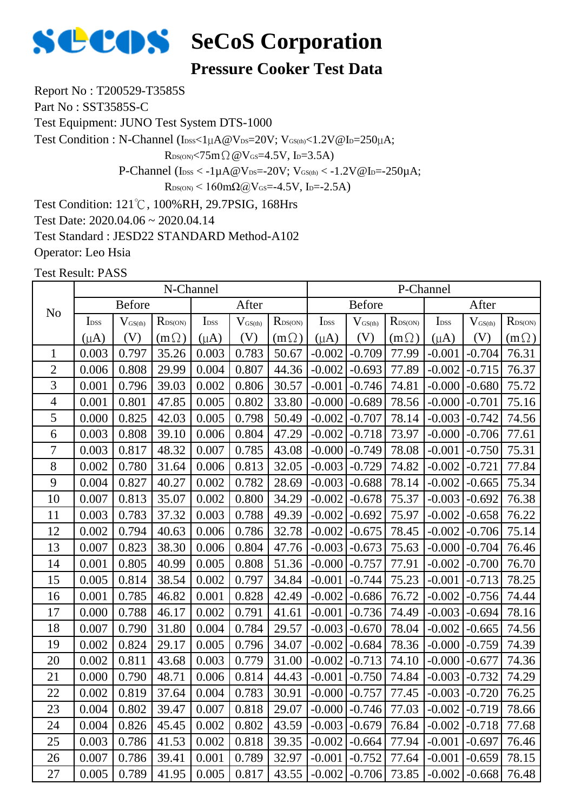

#### **Pressure Cooker Test Data**

Report No : T200529-T3585S

Part No : SST3585S-C

Test Equipment: JUNO Test System DTS-1000

Test Condition : N-Channel (IDSS<1µA@VDS=20V; VGS(th)<1.2V@ID=250µA;

 $R_{DS(ON)}$ <75m $\Omega$  @V $_{GS}$ =4.5V, I<sub>D</sub>=3.5A)

P-Channel ( $I_{DSS} < -1\mu A @V_{DS} = -20V$ ;  $V_{GS(th)} < -1.2V @I_{D} = -250\mu A$ ;

 $R_{DS(ON)}$  < 160mΩ@V<sub>GS</sub>=-4.5V, I<sub>D</sub>=-2.5A)

Test Condition: 121℃, 100%RH, 29.7PSIG, 168Hrs

Test Date: 2020.04.06 ~ 2020.04.14

Test Standard : JESD22 STANDARD Method-A102

Operator: Leo Hsia

|                |                  |                     | N-Channel    |                  |                       |              |                  |               |                  | P-Channel        |                     |                  |
|----------------|------------------|---------------------|--------------|------------------|-----------------------|--------------|------------------|---------------|------------------|------------------|---------------------|------------------|
| N <sub>o</sub> |                  | <b>Before</b>       |              |                  | After                 |              |                  | <b>Before</b> |                  |                  | After               |                  |
|                | I <sub>DSS</sub> | $V_{\text{GS(th)}}$ | $R_{DS(ON)}$ | I <sub>DSS</sub> | $V_{\mathrm{GS(th)}}$ | $R_{DS(ON)}$ | I <sub>DSS</sub> | $V_{GS(th)}$  | $R_{\rm DS(ON)}$ | I <sub>DSS</sub> | $V_{\text{GS(th)}}$ | $R_{\rm DS(ON)}$ |
|                | $(\mu A)$        | (V)                 | $(m\Omega)$  | $(\mu A)$        | (V)                   | $(m\Omega)$  | $(\mu A)$        | (V)           | $(m\Omega)$      | $(\mu A)$        | (V)                 | $(m\Omega)$      |
| $\mathbf{1}$   | 0.003            | 0.797               | 35.26        | 0.003            | 0.783                 | 50.67        | $-0.002$         | $-0.709$      | 77.99            | $-0.001$         | $-0.704$            | 76.31            |
| $\overline{2}$ | 0.006            | 0.808               | 29.99        | 0.004            | 0.807                 | 44.36        | $-0.002$         | $-0.693$      | 77.89            | $-0.002$         | $-0.715$            | 76.37            |
| 3              | 0.001            | 0.796               | 39.03        | 0.002            | 0.806                 | 30.57        | $-0.001$         | $-0.746$      | 74.81            | $-0.000$         | $-0.680$            | 75.72            |
| $\overline{4}$ | 0.001            | 0.801               | 47.85        | 0.005            | 0.802                 | 33.80        | $-0.000$         | $-0.689$      | 78.56            | $-0.000$         | $-0.701$            | 75.16            |
| 5              | 0.000            | 0.825               | 42.03        | 0.005            | 0.798                 | 50.49        | $-0.002$         | $-0.707$      | 78.14            | $-0.003$         | $-0.742$            | 74.56            |
| 6              | 0.003            | 0.808               | 39.10        | 0.006            | 0.804                 | 47.29        | $-0.002$         | $-0.718$      | 73.97            | $-0.000$         | $-0.706$            | 77.61            |
| 7              | 0.003            | 0.817               | 48.32        | 0.007            | 0.785                 | 43.08        | $-0.000$         | $-0.749$      | 78.08            | $-0.001$         | $-0.750$            | 75.31            |
| 8              | 0.002            | 0.780               | 31.64        | 0.006            | 0.813                 | 32.05        | $-0.003$         | $-0.729$      | 74.82            | $-0.002$         | $-0.721$            | 77.84            |
| 9              | 0.004            | 0.827               | 40.27        | 0.002            | 0.782                 | 28.69        | $-0.003$         | $-0.688$      | 78.14            | $-0.002$         | $-0.665$            | 75.34            |
| 10             | 0.007            | 0.813               | 35.07        | 0.002            | 0.800                 | 34.29        | $-0.002$         | $-0.678$      | 75.37            | $-0.003$         | $-0.692$            | 76.38            |
| 11             | 0.003            | 0.783               | 37.32        | 0.003            | 0.788                 | 49.39        | $-0.002$         | $-0.692$      | 75.97            | $-0.002$         | $-0.658$            | 76.22            |
| 12             | 0.002            | 0.794               | 40.63        | 0.006            | 0.786                 | 32.78        | $-0.002$         | $-0.675$      | 78.45            | $-0.002$         | $-0.706$            | 75.14            |
| 13             | 0.007            | 0.823               | 38.30        | 0.006            | 0.804                 | 47.76        | $-0.003$         | $-0.673$      | 75.63            | $-0.000$         | $-0.704$            | 76.46            |
| 14             | 0.001            | 0.805               | 40.99        | 0.005            | 0.808                 | 51.36        | $-0.000$         | $-0.757$      | 77.91            | $-0.002$         | $-0.700$            | 76.70            |
| 15             | 0.005            | 0.814               | 38.54        | 0.002            | 0.797                 | 34.84        | $-0.001$         | $-0.744$      | 75.23            | $-0.001$         | $-0.713$            | 78.25            |
| 16             | 0.001            | 0.785               | 46.82        | 0.001            | 0.828                 | 42.49        | $-0.002$         | $-0.686$      | 76.72            | $-0.002$         | $-0.756$            | 74.44            |
| 17             | 0.000            | 0.788               | 46.17        | 0.002            | 0.791                 | 41.61        | $-0.001$         | $-0.736$      | 74.49            | $-0.003$         | $-0.694$            | 78.16            |
| 18             | 0.007            | 0.790               | 31.80        | 0.004            | 0.784                 | 29.57        | $-0.003$         | $-0.670$      | 78.04            | $-0.002$         | $-0.665$            | 74.56            |
| 19             | 0.002            | 0.824               | 29.17        | 0.005            | 0.796                 | 34.07        | $-0.002$         | $-0.684$      | 78.36            | $-0.000$         | $-0.759$            | 74.39            |
| 20             | 0.002            | 0.811               | 43.68        | 0.003            | 0.779                 | 31.00        | $-0.002$         | $-0.713$      | 74.10            | $-0.000$         | $-0.677$            | 74.36            |
| 21             | 0.000            | 0.790               | 48.71        | 0.006            | 0.814                 | 44.43        | $-0.001$         | $-0.750$      | 74.84            | $-0.003$         | $-0.732$            | 74.29            |
| 22             | 0.002            | 0.819               | 37.64        | 0.004            | 0.783                 | 30.91        | $-0.000$         | $-0.757$      | 77.45            | $-0.003$         | $-0.720$            | 76.25            |
| 23             | 0.004            | 0.802               | 39.47        | 0.007            | 0.818                 | 29.07        | $-0.000$         | $-0.746$      | 77.03            | $-0.002$         | $-0.719$            | 78.66            |
| 24             | 0.004            | 0.826               | 45.45        | 0.002            | 0.802                 | 43.59        | $-0.003$         | $-0.679$      | 76.84            | $-0.002$         | $-0.718$            | 77.68            |
| 25             | 0.003            | 0.786               | 41.53        | 0.002            | 0.818                 | 39.35        | $-0.002$         | $-0.664$      | 77.94            | $-0.001$         | $-0.697$            | 76.46            |
| 26             | 0.007            | 0.786               | 39.41        | 0.001            | 0.789                 | 32.97        | $-0.001$         | $-0.752$      | 77.64            | $-0.001$         | $-0.659$            | 78.15            |
| 27             | 0.005            | 0.789               | 41.95        | 0.005            | 0.817                 | 43.55        | $-0.002$         | $-0.706$      | 73.85            | $-0.002$         | $-0.668$            | 76.48            |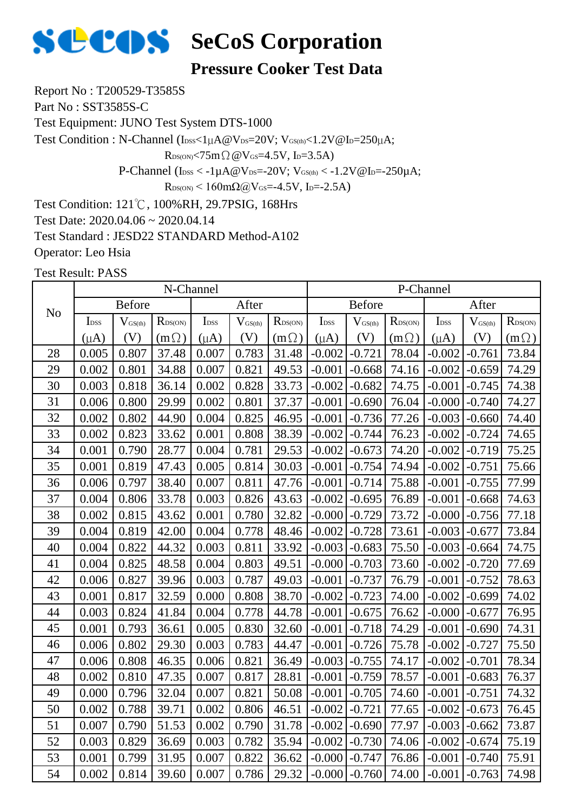

#### **Pressure Cooker Test Data**

Report No : T200529-T3585S

Part No : SST3585S-C

Test Equipment: JUNO Test System DTS-1000

Test Condition : N-Channel (IDSS<1µA@VDS=20V; VGS(th)<1.2V@ID=250µA;

 $R_{DS(ON)}$ <75m $\Omega$  @V $_{GS}$ =4.5V, I<sub>D</sub>=3.5A)

P-Channel ( $I_{DSS} < -1\mu A @V_{DS} = -20V$ ;  $V_{GS(th)} < -1.2V @I_{D} = -250\mu A$ ;

 $R_{DS(ON)}$  < 160mΩ@V<sub>GS</sub>=-4.5V, I<sub>D</sub>=-2.5A)

Test Condition: 121℃, 100%RH, 29.7PSIG, 168Hrs

Test Date: 2020.04.06 ~ 2020.04.14

Test Standard : JESD22 STANDARD Method-A102

Operator: Leo Hsia

|                |                                                                                                |       | N-Channel    |           |              |                            |                  |               |                            | P-Channel        |                     |                  |
|----------------|------------------------------------------------------------------------------------------------|-------|--------------|-----------|--------------|----------------------------|------------------|---------------|----------------------------|------------------|---------------------|------------------|
| N <sub>o</sub> | After<br><b>Before</b><br>$R_{DS(ON)}$<br>I <sub>DSS</sub><br>I <sub>DSS</sub><br>$V_{GS(th)}$ |       |              |           |              |                            |                  | <b>Before</b> |                            |                  | After               |                  |
|                |                                                                                                |       |              |           | $V_{GS(th)}$ | $R_{\text{DS}(\text{ON})}$ | I <sub>DSS</sub> | $V_{GS(th)}$  | $R_{\text{DS}(\text{ON})}$ | I <sub>DSS</sub> | $V_{\text{GS(th)}}$ | $R_{\rm DS(ON)}$ |
|                | $(\mu A)$                                                                                      | (V)   | $(m \Omega)$ | $(\mu A)$ | (V)          | $(m\Omega)$                | $(\mu A)$        | (V)           | $(m\Omega)$                | $(\mu A)$        | (V)                 | $(m\Omega)$      |
| 28             | 0.005                                                                                          | 0.807 | 37.48        | 0.007     | 0.783        | 31.48                      | $-0.002$         | $-0.721$      | 78.04                      | $-0.002$         | $-0.761$            | 73.84            |
| 29             | 0.002                                                                                          | 0.801 | 34.88        | 0.007     | 0.821        | 49.53                      | $-0.001$         | $-0.668$      | 74.16                      | $-0.002$         | $-0.659$            | 74.29            |
| 30             | 0.003                                                                                          | 0.818 | 36.14        | 0.002     | 0.828        | 33.73                      | $-0.002$         | $-0.682$      | 74.75                      | $-0.001$         | $-0.745$            | 74.38            |
| 31             | 0.006                                                                                          | 0.800 | 29.99        | 0.002     | 0.801        | 37.37                      | $-0.001$         | $-0.690$      | 76.04                      | $-0.000$         | $-0.740$            | 74.27            |
| 32             | 0.002                                                                                          | 0.802 | 44.90        | 0.004     | 0.825        | 46.95                      | $-0.001$         | $-0.736$      | 77.26                      | $-0.003$         | $-0.660$            | 74.40            |
| 33             | 0.002                                                                                          | 0.823 | 33.62        | 0.001     | 0.808        | 38.39                      | $-0.002$         | $-0.744$      | 76.23                      | $-0.002$         | $-0.724$            | 74.65            |
| 34             | 0.001                                                                                          | 0.790 | 28.77        | 0.004     | 0.781        | 29.53                      | $-0.002$         | $-0.673$      | 74.20                      | $-0.002$         | $-0.719$            | 75.25            |
| 35             | 0.001                                                                                          | 0.819 | 47.43        | 0.005     | 0.814        | 30.03                      | $-0.001$         | $-0.754$      | 74.94                      | $-0.002$         | $-0.751$            | 75.66            |
| 36             | 0.006                                                                                          | 0.797 | 38.40        | 0.007     | 0.811        | 47.76                      | $-0.001$         | $-0.714$      | 75.88                      | $-0.001$         | $-0.755$            | 77.99            |
| 37             | 0.004                                                                                          | 0.806 | 33.78        | 0.003     | 0.826        | 43.63                      | $-0.002$         | $-0.695$      | 76.89                      | $-0.001$         | $-0.668$            | 74.63            |
| 38             | 0.002                                                                                          | 0.815 | 43.62        | 0.001     | 0.780        | 32.82                      | $-0.000$         | $-0.729$      | 73.72                      | $-0.000$         | $-0.756$            | 77.18            |
| 39             | 0.004                                                                                          | 0.819 | 42.00        | 0.004     | 0.778        | 48.46                      | $-0.002$         | $-0.728$      | 73.61                      | $-0.003$         | $-0.677$            | 73.84            |
| 40             | 0.004                                                                                          | 0.822 | 44.32        | 0.003     | 0.811        | 33.92                      | $-0.003$         | $-0.683$      | 75.50                      | $-0.003$         | $-0.664$            | 74.75            |
| 41             | 0.004                                                                                          | 0.825 | 48.58        | 0.004     | 0.803        | 49.51                      | $-0.000$         | $-0.703$      | 73.60                      | $-0.002$         | $-0.720$            | 77.69            |
| 42             | 0.006                                                                                          | 0.827 | 39.96        | 0.003     | 0.787        | 49.03                      | $-0.001$         | $-0.737$      | 76.79                      | $-0.001$         | $-0.752$            | 78.63            |
| 43             | 0.001                                                                                          | 0.817 | 32.59        | 0.000     | 0.808        | 38.70                      | $-0.002$         | $-0.723$      | 74.00                      | $-0.002$         | $-0.699$            | 74.02            |
| 44             | 0.003                                                                                          | 0.824 | 41.84        | 0.004     | 0.778        | 44.78                      | $-0.001$         | $-0.675$      | 76.62                      | $-0.000$         | $-0.677$            | 76.95            |
| 45             | 0.001                                                                                          | 0.793 | 36.61        | 0.005     | 0.830        | 32.60                      | $-0.001$         | $-0.718$      | 74.29                      | $-0.001$         | $-0.690$            | 74.31            |
| 46             | 0.006                                                                                          | 0.802 | 29.30        | 0.003     | 0.783        | 44.47                      | $-0.001$         | $-0.726$      | 75.78                      | $-0.002$         | $-0.727$            | 75.50            |
| 47             | 0.006                                                                                          | 0.808 | 46.35        | 0.006     | 0.821        | 36.49                      | $-0.003$         | $-0.755$      | 74.17                      | $-0.002$         | $-0.701$            | 78.34            |
| 48             | 0.002                                                                                          | 0.810 | 47.35        | 0.007     | 0.817        | 28.81                      | $-0.001$         | $-0.759$      | 78.57                      | $-0.001$         | $-0.683$            | 76.37            |
| 49             | 0.000                                                                                          | 0.796 | 32.04        | 0.007     | 0.821        | 50.08                      | $-0.001$         | $-0.705$      | 74.60                      | $-0.001$         | $-0.751$            | 74.32            |
| 50             | 0.002                                                                                          | 0.788 | 39.71        | 0.002     | 0.806        | 46.51                      | $-0.002$         | $-0.721$      | 77.65                      | $-0.002$         | $-0.673$            | 76.45            |
| 51             | 0.007                                                                                          | 0.790 | 51.53        | 0.002     | 0.790        | 31.78                      | $-0.002$         | $-0.690$      | 77.97                      | $-0.003$         | $-0.662$            | 73.87            |
| 52             | 0.003                                                                                          | 0.829 | 36.69        | 0.003     | 0.782        | 35.94                      | $-0.002$         | $-0.730$      | 74.06                      | $-0.002$         | $-0.674$            | 75.19            |
| 53             | 0.001                                                                                          | 0.799 | 31.95        | 0.007     | 0.822        | 36.62                      | $-0.000$         | $-0.747$      | 76.86                      | $-0.001$         | $-0.740$            | 75.91            |
| 54             | 0.002                                                                                          | 0.814 | 39.60        | 0.007     | 0.786        | 29.32                      | $-0.000$         | $-0.760$      | 74.00                      | $-0.001$         | $-0.763$            | 74.98            |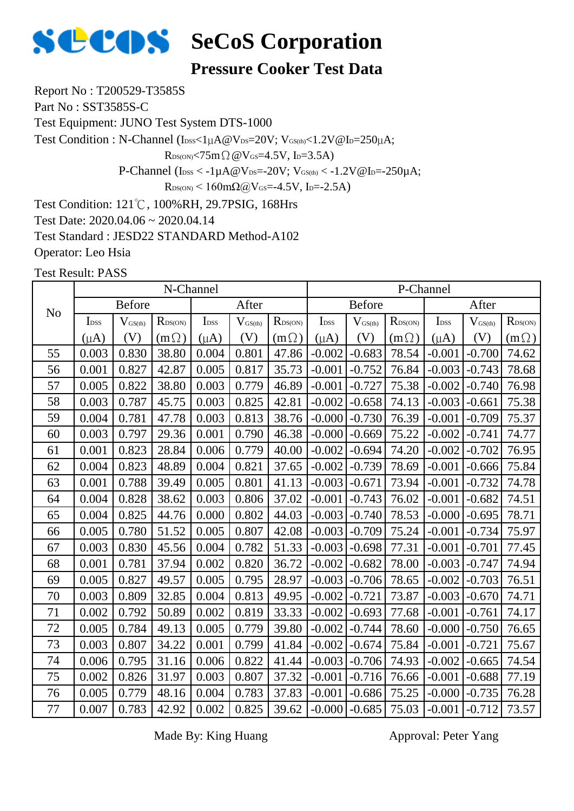

#### **Pressure Cooker Test Data**

Report No : T200529-T3585S

Part No : SST3585S-C

Test Equipment: JUNO Test System DTS-1000

Test Condition : N-Channel (Ibss<1µA@Vps=20V; VGS(th)<1.2V@Ip=250µA;

 $R_{DS(ON)}$ <75m $\Omega$  @V $_{GS}$ =4.5V, I<sub>D</sub>=3.5A)

P-Channel ( $I_{\text{DSS}} < -1 \mu A @V_{\text{DS}} = -20 V$ ;  $V_{\text{GS(th)}} < -1.2 V @I_{\text{D}} = -250 \mu A$ ;

 $R_{DS(ON)}$  < 160mΩ@V<sub>GS</sub>=-4.5V, I<sub>D</sub>=-2.5A)

Test Condition: 121℃, 100%RH, 29.7PSIG, 168Hrs

Test Date: 2020.04.06 ~ 2020.04.14

Test Standard : JESD22 STANDARD Method-A102

Operator: Leo Hsia

Test Result: PASS

|                |                  |                     | N-Channel    |                  |              |              |                  |               |                  | P-Channel        |              |                  |
|----------------|------------------|---------------------|--------------|------------------|--------------|--------------|------------------|---------------|------------------|------------------|--------------|------------------|
| N <sub>o</sub> |                  | <b>Before</b>       |              |                  | After        |              |                  | <b>Before</b> |                  |                  | After        |                  |
|                | I <sub>DSS</sub> | $V_{\text{GS(th)}}$ | $R_{DS(ON)}$ | I <sub>DSS</sub> | $V_{GS(th)}$ | $R_{DS(ON)}$ | I <sub>DSS</sub> | $V_{GS(th)}$  | $R_{\rm DS(ON)}$ | I <sub>DSS</sub> | $V_{GS(th)}$ | $R_{\rm DS(ON)}$ |
|                | $(\mu A)$        | (V)                 | $(m \Omega)$ | $(\mu A)$        | (V)          | $(m\Omega)$  | $(\mu A)$        | (V)           | $(m\Omega)$      | $(\mu A)$        | (V)          | $(m\Omega)$      |
| 55             | 0.003            | 0.830               | 38.80        | 0.004            | 0.801        | 47.86        | $-0.002$         | $-0.683$      | 78.54            | $-0.001$         | $-0.700$     | 74.62            |
| 56             | 0.001            | 0.827               | 42.87        | 0.005            | 0.817        | 35.73        | $-0.001$         | $-0.752$      | 76.84            | $-0.003$         | $-0.743$     | 78.68            |
| 57             | 0.005            | 0.822               | 38.80        | 0.003            | 0.779        | 46.89        | $-0.001$         | $-0.727$      | 75.38            | $-0.002$         | $-0.740$     | 76.98            |
| 58             | 0.003            | 0.787               | 45.75        | 0.003            | 0.825        | 42.81        | $-0.002$         | $-0.658$      | 74.13            | $-0.003$         | $-0.661$     | 75.38            |
| 59             | 0.004            | 0.781               | 47.78        | 0.003            | 0.813        | 38.76        | $-0.000$         | $-0.730$      | 76.39            | $-0.001$         | $-0.709$     | 75.37            |
| 60             | 0.003            | 0.797               | 29.36        | 0.001            | 0.790        | 46.38        | $-0.000$         | $-0.669$      | 75.22            | $-0.002$         | $-0.741$     | 74.77            |
| 61             | 0.001            | 0.823               | 28.84        | 0.006            | 0.779        | 40.00        | $-0.002$         | $-0.694$      | 74.20            | $-0.002$         | $-0.702$     | 76.95            |
| 62             | 0.004            | 0.823               | 48.89        | 0.004            | 0.821        | 37.65        | $-0.002$         | $-0.739$      | 78.69            | $-0.001$         | $-0.666$     | 75.84            |
| 63             | 0.001            | 0.788               | 39.49        | 0.005            | 0.801        | 41.13        | $-0.003$         | $-0.671$      | 73.94            | $-0.001$         | $-0.732$     | 74.78            |
| 64             | 0.004            | 0.828               | 38.62        | 0.003            | 0.806        | 37.02        | $-0.001$         | $-0.743$      | 76.02            | $-0.001$         | $-0.682$     | 74.51            |
| 65             | 0.004            | 0.825               | 44.76        | 0.000            | 0.802        | 44.03        | $-0.003$         | $-0.740$      | 78.53            | $-0.000$         | $-0.695$     | 78.71            |
| 66             | 0.005            | 0.780               | 51.52        | 0.005            | 0.807        | 42.08        | $-0.003$         | $-0.709$      | 75.24            | $-0.001$         | $-0.734$     | 75.97            |
| 67             | 0.003            | 0.830               | 45.56        | 0.004            | 0.782        | 51.33        | $-0.003$         | $-0.698$      | 77.31            | $-0.001$         | $-0.701$     | 77.45            |
| 68             | 0.001            | 0.781               | 37.94        | 0.002            | 0.820        | 36.72        | $-0.002$         | $-0.682$      | 78.00            | $-0.003$         | $-0.747$     | 74.94            |
| 69             | 0.005            | 0.827               | 49.57        | 0.005            | 0.795        | 28.97        | $-0.003$         | $-0.706$      | 78.65            | $-0.002$         | $-0.703$     | 76.51            |
| 70             | 0.003            | 0.809               | 32.85        | 0.004            | 0.813        | 49.95        | $-0.002$         | $-0.721$      | 73.87            | $-0.003$         | $-0.670$     | 74.71            |
| 71             | 0.002            | 0.792               | 50.89        | 0.002            | 0.819        | 33.33        | $-0.002$         | $-0.693$      | 77.68            | $-0.001$         | $-0.761$     | 74.17            |
| 72             | 0.005            | 0.784               | 49.13        | 0.005            | 0.779        | 39.80        | $-0.002$         | $-0.744$      | 78.60            | $-0.000$         | $-0.750$     | 76.65            |
| 73             | 0.003            | 0.807               | 34.22        | 0.001            | 0.799        | 41.84        | $-0.002$         | $-0.674$      | 75.84            | $-0.001$         | $-0.721$     | 75.67            |
| 74             | 0.006            | 0.795               | 31.16        | 0.006            | 0.822        | 41.44        | $-0.003$         | $-0.706$      | 74.93            | $-0.002$         | $-0.665$     | 74.54            |
| 75             | 0.002            | 0.826               | 31.97        | 0.003            | 0.807        | 37.32        | $-0.001$         | $-0.716$      | 76.66            | $-0.001$         | $-0.688$     | 77.19            |
| 76             | 0.005            | 0.779               | 48.16        | 0.004            | 0.783        | 37.83        | $-0.001$         | $-0.686$      | 75.25            | $-0.000$         | $-0.735$     | 76.28            |
| 77             | 0.007            | 0.783               | 42.92        | 0.002            | 0.825        | 39.62        | $-0.000$         | $-0.685$      | 75.03            | $-0.001$         | $-0.712$     | 73.57            |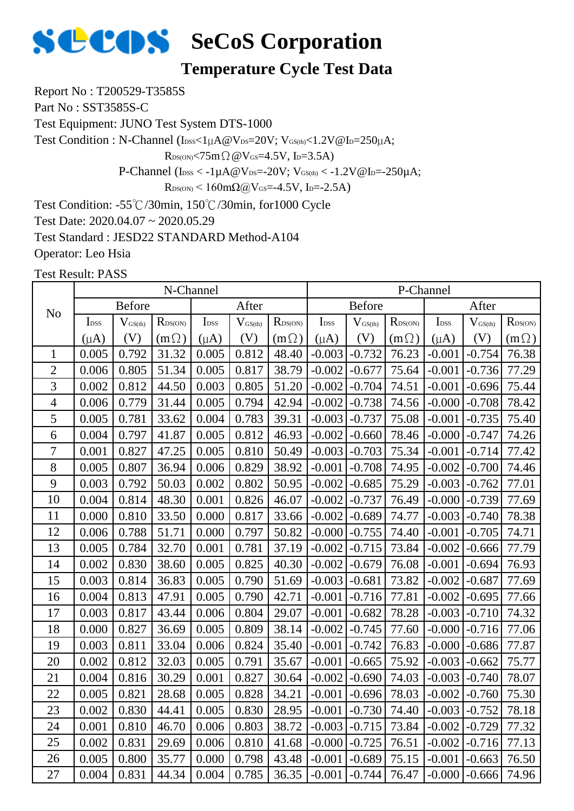

#### **Temperature Cycle Test Data**

Report No : T200529-T3585S

Part No : SST3585S-C

Test Equipment: JUNO Test System DTS-1000

Test Condition : N-Channel (IDSS<1µA@VDS=20V; VGS(th)<1.2V@ID=250µA;

 $R_{DS(ON)}$ <75m $\Omega$  @V $_{GS}$ =4.5V, I<sub>D</sub>=3.5A)

P-Channel ( $I_{DSS} < -1\mu A @V_{DS} = -20V$ ;  $V_{GS(th)} < -1.2V @I_{D} = -250\mu A$ ;

 $R_{DS(ON)}$  < 160mΩ@V<sub>GS</sub>=-4.5V, I<sub>D</sub>=-2.5A)

Test Condition: -55℃/30min, 150℃/30min, for1000 Cycle

Test Date: 2020.04.07 ~ 2020.05.29

Test Standard : JESD22 STANDARD Method-A104

Operator: Leo Hsia

|                |                  |                     | N-Channel    |                  |                     |                  |                  |                              |                  | P-Channel         |                     |                  |
|----------------|------------------|---------------------|--------------|------------------|---------------------|------------------|------------------|------------------------------|------------------|-------------------|---------------------|------------------|
| N <sub>o</sub> |                  | <b>Before</b>       |              |                  | After               |                  |                  | <b>Before</b>                |                  |                   | After               |                  |
|                | I <sub>DSS</sub> | $V_{\text{GS(th)}}$ | $R_{DS(ON)}$ | I <sub>DSS</sub> | $V_{\text{GS(th)}}$ | $R_{\rm DS(ON)}$ | I <sub>DSS</sub> | $\mathbf{V}_{\text{GS(th)}}$ | $R_{\rm DS(ON)}$ | I <sub>DSS</sub>  | $V_{\text{GS(th)}}$ | $R_{\rm DS(ON)}$ |
|                | $(\mu A)$        | (V)                 | $(m \Omega)$ | $(\mu A)$        | (V)                 | $(m\Omega)$      | $(\mu A)$        | (V)                          | $(m\Omega)$      | $(\mu A)$         | (V)                 | $(m\Omega)$      |
| $\mathbf{1}$   | 0.005            | 0.792               | 31.32        | 0.005            | 0.812               | 48.40            | $-0.003$         | $-0.732$                     | 76.23            | $-0.001$          | $-0.754$            | 76.38            |
| $\overline{2}$ | 0.006            | 0.805               | 51.34        | 0.005            | 0.817               | 38.79            | $-0.002$         | $-0.677$                     | 75.64            | $-0.001$          | $-0.736$            | 77.29            |
| 3              | 0.002            | 0.812               | 44.50        | 0.003            | 0.805               | 51.20            | $-0.002$         | $-0.704$                     | 74.51            | $-0.001$          | $-0.696$            | 75.44            |
| $\overline{4}$ | 0.006            | 0.779               | 31.44        | 0.005            | 0.794               | 42.94            | $-0.002$         | $-0.738$                     | 74.56            | $-0.000$          | $-0.708$            | 78.42            |
| 5              | 0.005            | 0.781               | 33.62        | 0.004            | 0.783               | 39.31            | $-0.003$         | $-0.737$                     | 75.08            | $-0.001$          | $-0.735$            | 75.40            |
| 6              | 0.004            | 0.797               | 41.87        | 0.005            | 0.812               | 46.93            | $-0.002$         | $-0.660$                     | 78.46            | $-0.000$          | $-0.747$            | 74.26            |
| $\overline{7}$ | 0.001            | 0.827               | 47.25        | 0.005            | 0.810               | 50.49            | $-0.003$         | $-0.703$                     | 75.34            | $-0.001$          | $-0.714$            | 77.42            |
| 8              | 0.005            | 0.807               | 36.94        | 0.006            | 0.829               | 38.92            | $-0.001$         | $-0.708$                     | 74.95            | $-0.002$          | $-0.700$            | 74.46            |
| 9              | 0.003            | 0.792               | 50.03        | 0.002            | 0.802               | 50.95            | $-0.002$         | $-0.685$                     | 75.29            | $-0.003$          | $-0.762$            | 77.01            |
| 10             | 0.004            | 0.814               | 48.30        | 0.001            | 0.826               | 46.07            | $-0.002$         | $-0.737$                     | 76.49            | $-0.000$          | $-0.739$            | 77.69            |
| 11             | 0.000            | 0.810               | 33.50        | 0.000            | 0.817               | 33.66            | $-0.002$         | $-0.689$                     | 74.77            | $-0.003$          | $-0.740$            | 78.38            |
| 12             | 0.006            | 0.788               | 51.71        | 0.000            | 0.797               | 50.82            | $-0.000$         | $-0.755$                     | 74.40            | $-0.001$          | $-0.705$            | 74.71            |
| 13             | 0.005            | 0.784               | 32.70        | 0.001            | 0.781               | 37.19            | $-0.002$         | $-0.715$                     | 73.84            | $-0.002$          | $-0.666$            | 77.79            |
| 14             | 0.002            | 0.830               | 38.60        | 0.005            | 0.825               | 40.30            | $-0.002$         | $-0.679$                     | 76.08            | $-0.001$          | $-0.694$            | 76.93            |
| 15             | 0.003            | 0.814               | 36.83        | 0.005            | 0.790               | 51.69            | $-0.003$         | $-0.681$                     | 73.82            | $-0.002$          | $-0.687$            | 77.69            |
| 16             | 0.004            | 0.813               | 47.91        | 0.005            | 0.790               | 42.71            | $-0.001$         | $-0.716$                     | 77.81            | $-0.002$          | $-0.695$            | 77.66            |
| 17             | 0.003            | 0.817               | 43.44        | 0.006            | 0.804               | 29.07            | $-0.001$         | $-0.682$                     | 78.28            | $-0.003$          | $-0.710$            | 74.32            |
| 18             | 0.000            | 0.827               | 36.69        | 0.005            | 0.809               | 38.14            | $-0.002$         | $-0.745$                     | 77.60            | $-0.000$          | $-0.716$            | 77.06            |
| 19             | 0.003            | 0.811               | 33.04        | 0.006            | 0.824               | 35.40            | $-0.001$         | $-0.742$                     | 76.83            | $-0.000$          | $-0.686$            | 77.87            |
| 20             | 0.002            | 0.812               | 32.03        | 0.005            | 0.791               | 35.67            | $-0.001$         | $-0.665$                     | 75.92            | $-0.003$          | $-0.662$            | 75.77            |
| 21             | 0.004            | 0.816               | 30.29        | 0.001            | 0.827               | 30.64            | $-0.002$         | $-0.690$                     | 74.03            | $-0.003$          | $-0.740$            | 78.07            |
| 22             | 0.005            | 0.821               | 28.68        | 0.005            | 0.828               | 34.21            | $-0.001$         | $-0.696$                     | 78.03            | $-0.002$          | $-0.760$            | 75.30            |
| 23             | 0.002            | 0.830               | 44.41        | 0.005            | 0.830               | 28.95            | $-0.001$         | $-0.730$                     | 74.40            | $-0.003$          | $-0.752$            | 78.18            |
| 24             | 0.001            | 0.810               | 46.70        | 0.006            | 0.803               | 38.72            | $-0.003$         | $-0.715$                     | 73.84            | $-0.002$          | $-0.729$            | 77.32            |
| 25             | 0.002            | 0.831               | 29.69        | 0.006            | 0.810               | 41.68            | $-0.000$         | $-0.725$                     | 76.51            | $-0.002$          | $-0.716$            | 77.13            |
| 26             | 0.005            | 0.800               | 35.77        | 0.000            | 0.798               | 43.48            | $-0.001$         | $-0.689$                     | 75.15            | $-0.001$          | $-0.663$            | 76.50            |
| 27             | 0.004            | 0.831               | 44.34        | 0.004            | 0.785               | 36.35            | $-0.001$         | $-0.744$                     | 76.47            | $-0.000$ $-0.666$ |                     | 74.96            |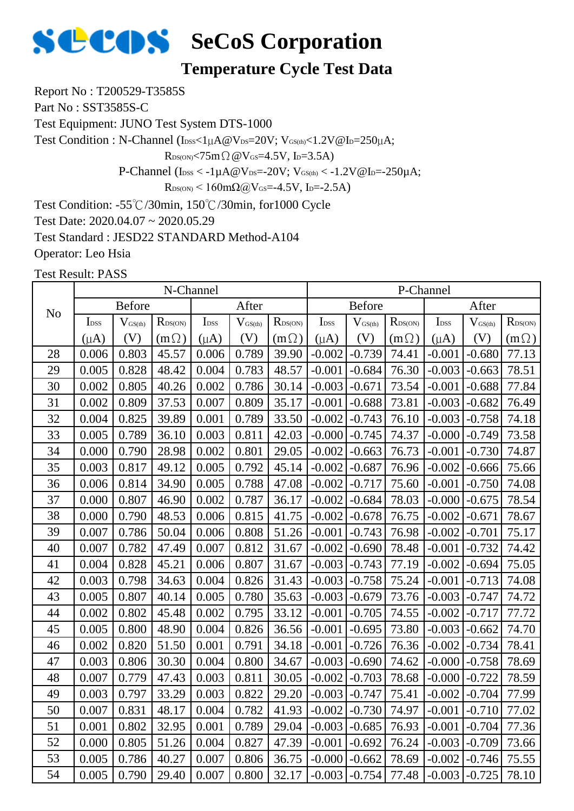

#### **Temperature Cycle Test Data**

Report No : T200529-T3585S

Part No : SST3585S-C

Test Equipment: JUNO Test System DTS-1000

Test Condition : N-Channel (IDSS<1µA@VDS=20V; VGS(th)<1.2V@ID=250µA;

 $R_{DS(ON)}$ <75m $\Omega$  @V $_{GS}$ =4.5V, I<sub>D</sub>=3.5A)

P-Channel ( $I_{DSS} < -1\mu A @V_{DS} = -20V$ ;  $V_{GS(th)} < -1.2V @I_{D} = -250\mu A$ ;

 $R_{DS(ON)}$  < 160mΩ@V<sub>GS</sub>=-4.5V, I<sub>D</sub>=-2.5A)

Test Condition: -55℃/30min, 150℃/30min, for1000 Cycle

Test Date: 2020.04.07 ~ 2020.05.29

Test Standard : JESD22 STANDARD Method-A104

Operator: Leo Hsia

|                |                  |                     | N-Channel                  |                  |                     |                  |                  |                              |                  | P-Channel        |                     |                  |
|----------------|------------------|---------------------|----------------------------|------------------|---------------------|------------------|------------------|------------------------------|------------------|------------------|---------------------|------------------|
| N <sub>o</sub> |                  | <b>Before</b>       |                            |                  | After               |                  |                  | <b>Before</b>                |                  |                  | After               |                  |
|                | I <sub>DSS</sub> | $V_{\text{GS(th)}}$ | $R_{\text{DS}(\text{ON})}$ | I <sub>DSS</sub> | $V_{\text{GS(th)}}$ | $R_{\rm DS(ON)}$ | I <sub>DSS</sub> | $\mathbf{V}_{\text{GS(th)}}$ | $R_{\rm DS(ON)}$ | I <sub>DSS</sub> | $V_{\text{GS(th)}}$ | $R_{\rm DS(ON)}$ |
|                | $(\mu A)$        | (V)                 | $(m \Omega)$               | $(\mu A)$        | (V)                 | $(m\Omega)$      | $(\mu A)$        | (V)                          | $(m\Omega)$      | $(\mu A)$        | (V)                 | $(m\Omega)$      |
| 28             | 0.006            | 0.803               | 45.57                      | 0.006            | 0.789               | 39.90            | $-0.002$         | $-0.739$                     | 74.41            | $-0.001$         | $-0.680$            | 77.13            |
| 29             | 0.005            | 0.828               | 48.42                      | 0.004            | 0.783               | 48.57            | $-0.001$         | $-0.684$                     | 76.30            | $-0.003$         | $-0.663$            | 78.51            |
| 30             | 0.002            | 0.805               | 40.26                      | 0.002            | 0.786               | 30.14            | $-0.003$         | $-0.671$                     | 73.54            | $-0.001$         | $-0.688$            | 77.84            |
| 31             | 0.002            | 0.809               | 37.53                      | 0.007            | 0.809               | 35.17            | $-0.001$         | $-0.688$                     | 73.81            | $-0.003$         | $-0.682$            | 76.49            |
| 32             | 0.004            | 0.825               | 39.89                      | 0.001            | 0.789               | 33.50            | $-0.002$         | $-0.743$                     | 76.10            | $-0.003$         | $-0.758$            | 74.18            |
| 33             | 0.005            | 0.789               | 36.10                      | 0.003            | 0.811               | 42.03            | $-0.000$         | $-0.745$                     | 74.37            | $-0.000$         | $-0.749$            | 73.58            |
| 34             | 0.000            | 0.790               | 28.98                      | 0.002            | 0.801               | 29.05            | $-0.002$         | $-0.663$                     | 76.73            | $-0.001$         | $-0.730$            | 74.87            |
| 35             | 0.003            | 0.817               | 49.12                      | 0.005            | 0.792               | 45.14            | $-0.002$         | $-0.687$                     | 76.96            | $-0.002$         | $-0.666$            | 75.66            |
| 36             | 0.006            | 0.814               | 34.90                      | 0.005            | 0.788               | 47.08            | $-0.002$         | $-0.717$                     | 75.60            | $-0.001$         | $-0.750$            | 74.08            |
| 37             | 0.000            | 0.807               | 46.90                      | 0.002            | 0.787               | 36.17            | $-0.002$         | $-0.684$                     | 78.03            | $-0.000$         | $-0.675$            | 78.54            |
| 38             | 0.000            | 0.790               | 48.53                      | 0.006            | 0.815               | 41.75            | $-0.002$         | $-0.678$                     | 76.75            | $-0.002$         | $-0.671$            | 78.67            |
| 39             | 0.007            | 0.786               | 50.04                      | 0.006            | 0.808               | 51.26            | $-0.001$         | $-0.743$                     | 76.98            | $-0.002$         | $-0.701$            | 75.17            |
| 40             | 0.007            | 0.782               | 47.49                      | 0.007            | 0.812               | 31.67            | $-0.002$         | $-0.690$                     | 78.48            | $-0.001$         | $-0.732$            | 74.42            |
| 41             | 0.004            | 0.828               | 45.21                      | 0.006            | 0.807               | 31.67            | $-0.003$         | $-0.743$                     | 77.19            | $-0.002$         | $-0.694$            | 75.05            |
| 42             | 0.003            | 0.798               | 34.63                      | 0.004            | 0.826               | 31.43            | $-0.003$         | $-0.758$                     | 75.24            | $-0.001$         | $-0.713$            | 74.08            |
| 43             | 0.005            | 0.807               | 40.14                      | 0.005            | 0.780               | 35.63            | $-0.003$         | $-0.679$                     | 73.76            | $-0.003$         | $-0.747$            | 74.72            |
| 44             | 0.002            | 0.802               | 45.48                      | 0.002            | 0.795               | 33.12            | $-0.001$         | $-0.705$                     | 74.55            | $-0.002$         | $-0.717$            | 77.72            |
| 45             | 0.005            | 0.800               | 48.90                      | 0.004            | 0.826               | 36.56            | $-0.001$         | $-0.695$                     | 73.80            | $-0.003$         | $-0.662$            | 74.70            |
| 46             | 0.002            | 0.820               | 51.50                      | 0.001            | 0.791               | 34.18            | $-0.001$         | $-0.726$                     | 76.36            | $-0.002$         | $-0.734$            | 78.41            |
| 47             | 0.003            | 0.806               | 30.30                      | 0.004            | 0.800               | 34.67            | $-0.003$         | $-0.690$                     | 74.62            | $-0.000$         | $-0.758$            | 78.69            |
| 48             | 0.007            | 0.779               | 47.43                      | 0.003            | 0.811               | 30.05            | $-0.002$         | $-0.703$                     | 78.68            | $-0.000$         | $-0.722$            | 78.59            |
| 49             | 0.003            | 0.797               | 33.29                      | 0.003            | 0.822               | 29.20            | $-0.003$         | $-0.747$                     | 75.41            | $-0.002$         | $-0.704$            | 77.99            |
| 50             | 0.007            | 0.831               | 48.17                      | 0.004            | 0.782               | 41.93            | $-0.002$         | $-0.730$                     | 74.97            | $-0.001$         | $-0.710$            | 77.02            |
| 51             | 0.001            | 0.802               | 32.95                      | 0.001            | 0.789               | 29.04            | $-0.003$         | $-0.685$                     | 76.93            | $-0.001$         | $-0.704$            | 77.36            |
| 52             | 0.000            | 0.805               | 51.26                      | 0.004            | 0.827               | 47.39            | $-0.001$         | $-0.692$                     | 76.24            | $-0.003$         | $-0.709$            | 73.66            |
| 53             | 0.005            | 0.786               | 40.27                      | 0.007            | 0.806               | 36.75            | $-0.000$         | $-0.662$                     | 78.69            | $-0.002$         | $-0.746$            | 75.55            |
| 54             | 0.005            | 0.790               | 29.40                      | 0.007            | 0.800               | 32.17            | $-0.003$         | $-0.754$                     | 77.48            | $-0.003$         | $-0.725$            | 78.10            |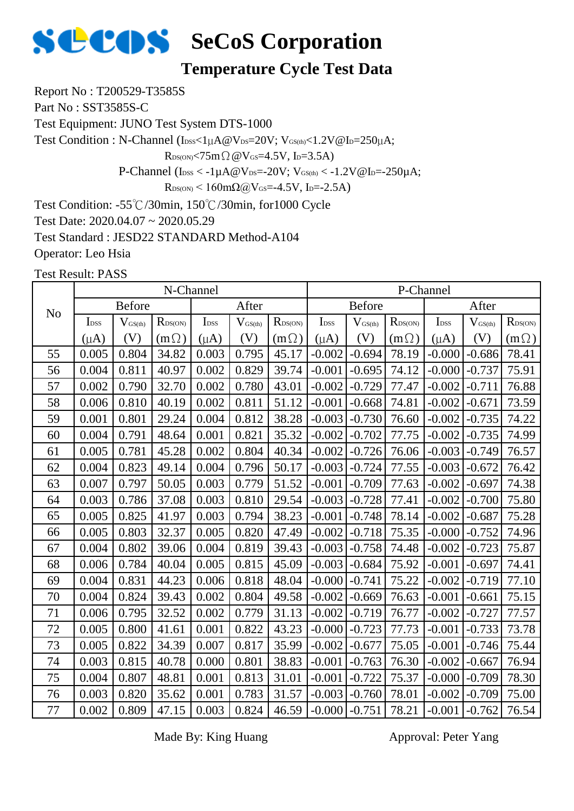

#### **Temperature Cycle Test Data**

Report No : T200529-T3585S

Part No : SST3585S-C

Test Equipment: JUNO Test System DTS-1000

Test Condition : N-Channel (IDSS<1µA@VDS=20V; VGS(th)<1.2V@ID=250µA;

 $R_{DS(ON)} < 75m \Omega \omega V_{GS} = 4.5V$ , I<sub>D</sub>=3.5A)

P-Channel ( $I_{\text{DSS}} < -1 \mu A @V_{\text{DS}} = -20 V$ ;  $V_{\text{GS(th)}} < -1.2 V @I_{\text{D}} = -250 \mu A$ ;

 $R_{DS(ON)}$  < 160m $\Omega$ @V<sub>GS</sub>=-4.5V, I<sub>D</sub>=-2.5A)

Test Condition: -55℃/30min, 150℃/30min, for1000 Cycle

Test Date: 2020.04.07 ~ 2020.05.29

Test Standard : JESD22 STANDARD Method-A104

Operator: Leo Hsia

Test Result: PASS

|                |                  |                     | N-Channel    |                  |              |                  |                   |                     | P-Channel        |                  |                     |                  |
|----------------|------------------|---------------------|--------------|------------------|--------------|------------------|-------------------|---------------------|------------------|------------------|---------------------|------------------|
| N <sub>o</sub> |                  | <b>Before</b>       |              |                  | After        |                  |                   | <b>Before</b>       |                  |                  | After               |                  |
|                | I <sub>DSS</sub> | $V_{\text{GS(th)}}$ | $R_{DS(ON)}$ | I <sub>DSS</sub> | $V_{GS(th)}$ | $R_{\rm DS(ON)}$ | I <sub>DSS</sub>  | $V_{\text{GS(th)}}$ | $R_{\rm DS(ON)}$ | I <sub>DSS</sub> | $V_{\text{GS(th)}}$ | $R_{\rm DS(ON)}$ |
|                | $(\mu A)$        | (V)                 | $(m\Omega)$  | $(\mu A)$        | (V)          | $(m\Omega)$      | $(\mu A)$         | (V)                 | $(m\Omega)$      | $(\mu A)$        | (V)                 | $(m\Omega)$      |
| 55             | 0.005            | 0.804               | 34.82        | 0.003            | 0.795        | 45.17            | $-0.002$          | $-0.694$            | 78.19            | $-0.000$         | $-0.686$            | 78.41            |
| 56             | 0.004            | 0.811               | 40.97        | 0.002            | 0.829        | 39.74            | $-0.001$          | $-0.695$            | 74.12            | $-0.000$         | $-0.737$            | 75.91            |
| 57             | 0.002            | 0.790               | 32.70        | 0.002            | 0.780        | 43.01            | $-0.002$          | $-0.729$            | 77.47            | $-0.002$         | $-0.711$            | 76.88            |
| 58             | 0.006            | 0.810               | 40.19        | 0.002            | 0.811        | 51.12            | $-0.001$          | $-0.668$            | 74.81            | $-0.002$         | $-0.671$            | 73.59            |
| 59             | 0.001            | 0.801               | 29.24        | 0.004            | 0.812        | 38.28            | $-0.003$          | $-0.730$            | 76.60            | $-0.002$         | $-0.735$            | 74.22            |
| 60             | 0.004            | 0.791               | 48.64        | 0.001            | 0.821        | 35.32            | $-0.002$          | $-0.702$            | 77.75            | $-0.002$         | $-0.735$            | 74.99            |
| 61             | 0.005            | 0.781               | 45.28        | 0.002            | 0.804        | 40.34            | $-0.002$          | $-0.726$            | 76.06            | $-0.003$         | $-0.749$            | 76.57            |
| 62             | 0.004            | 0.823               | 49.14        | 0.004            | 0.796        | 50.17            | $-0.003$          | $-0.724$            | 77.55            | $-0.003$         | $-0.672$            | 76.42            |
| 63             | 0.007            | 0.797               | 50.05        | 0.003            | 0.779        | 51.52            | $-0.001$          | $-0.709$            | 77.63            | $-0.002$         | $-0.697$            | 74.38            |
| 64             | 0.003            | 0.786               | 37.08        | 0.003            | 0.810        | 29.54            | $-0.003$          | $-0.728$            | 77.41            | $-0.002$         | $-0.700$            | 75.80            |
| 65             | 0.005            | 0.825               | 41.97        | 0.003            | 0.794        | 38.23            | $-0.001$          | $-0.748$            | 78.14            | $-0.002$         | $-0.687$            | 75.28            |
| 66             | 0.005            | 0.803               | 32.37        | 0.005            | 0.820        | 47.49            | $-0.002$          | $-0.718$            | 75.35            | $-0.000$         | $-0.752$            | 74.96            |
| 67             | 0.004            | 0.802               | 39.06        | 0.004            | 0.819        | 39.43            | $-0.003$          | $-0.758$            | 74.48            | $-0.002$         | $-0.723$            | 75.87            |
| 68             | 0.006            | 0.784               | 40.04        | 0.005            | 0.815        | 45.09            | $-0.003$          | $-0.684$            | 75.92            | $-0.001$         | $-0.697$            | 74.41            |
| 69             | 0.004            | 0.831               | 44.23        | 0.006            | 0.818        | 48.04            | $-0.000$          | $-0.741$            | 75.22            | $-0.002$         | $-0.719$            | 77.10            |
| 70             | 0.004            | 0.824               | 39.43        | 0.002            | 0.804        | 49.58            | $-0.002$          | $-0.669$            | 76.63            | $-0.001$         | $-0.661$            | 75.15            |
| 71             | 0.006            | 0.795               | 32.52        | 0.002            | 0.779        | 31.13            | $-0.002$          | $-0.719$            | 76.77            | $-0.002$         | $-0.727$            | 77.57            |
| 72             | 0.005            | $0.800\,$           | 41.61        | 0.001            | 0.822        | 43.23            | $-0.000$          | $-0.723$            | 77.73            | $-0.001$         | $-0.733$            | 73.78            |
| 73             | 0.005            | 0.822               | 34.39        | 0.007            | 0.817        | 35.99            | $-0.002$          | $-0.677$            | 75.05            | $-0.001$         | $-0.746$            | 75.44            |
| 74             | 0.003            | 0.815               | 40.78        | 0.000            | 0.801        | 38.83            | $-0.001$          | $-0.763$            | 76.30            | $-0.002$         | $-0.667$            | 76.94            |
| 75             | 0.004            | 0.807               | 48.81        | 0.001            | 0.813        | 31.01            | $-0.001$          | $-0.722$            | 75.37            | $-0.000$         | $-0.709$            | 78.30            |
| 76             | 0.003            | 0.820               | 35.62        | 0.001            | 0.783        | 31.57            | $-0.003$          | $-0.760$            | 78.01            | $-0.002$         | $-0.709$            | 75.00            |
| 77             | 0.002            | 0.809               | 47.15        | 0.003            | 0.824        | 46.59            | $-0.000$ $-0.751$ |                     | 78.21            | $-0.001$         | $-0.762$            | 76.54            |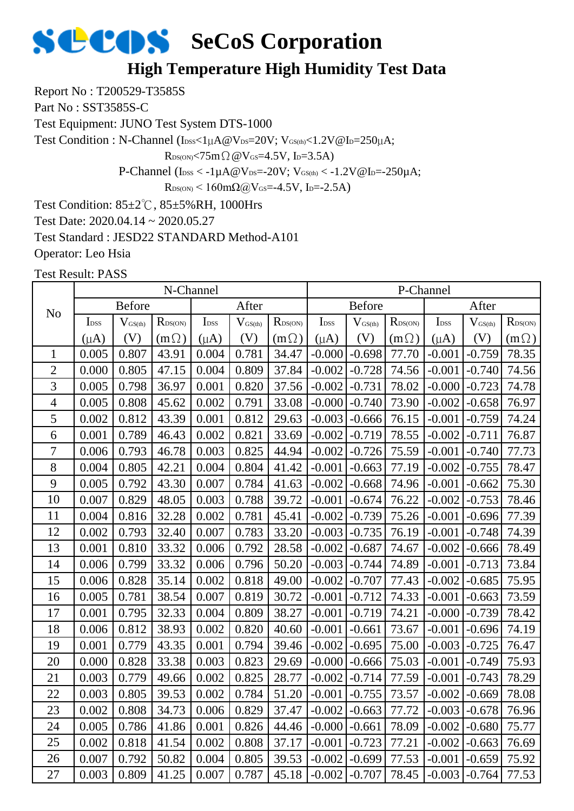### **SCOS** SeCoS Corporation **High Temperature High Humidity Test Data**

Report No : T200529-T3585S

Part No : SST3585S-C

Test Equipment: JUNO Test System DTS-1000

Test Condition : N-Channel (IDSS<1µA@VDS=20V; VGS(th)<1.2V@ID=250µA;

 $R_{DS(ON)}$ <75m $\Omega$  @V $_{GS}$ =4.5V, I<sub>D</sub>=3.5A)

P-Channel ( $I_{DSS} < -1\mu A @V_{DS} = -20V$ ;  $V_{GS(th)} < -1.2V @I_{D} = -250\mu A$ ;

 $R_{DS(ON)}$  < 160mΩ@V<sub>GS</sub>=-4.5V, I<sub>D</sub>=-2.5A)

Test Condition: 85±2℃, 85±5%RH, 1000Hrs

Test Date: 2020.04.14 ~ 2020.05.27

Test Standard : JESD22 STANDARD Method-A101

Operator: Leo Hsia

|                |                  |               |              | N-Channel        |              |              |                  |               |                     | P-Channel        |                     |              |
|----------------|------------------|---------------|--------------|------------------|--------------|--------------|------------------|---------------|---------------------|------------------|---------------------|--------------|
| N <sub>o</sub> |                  | <b>Before</b> |              |                  | After        |              |                  | <b>Before</b> |                     |                  | After               |              |
|                | I <sub>DSS</sub> | $V_{GS(th)}$  | $R_{DS(ON)}$ | I <sub>DSS</sub> | $V_{GS(th)}$ | $R_{DS(ON)}$ | I <sub>DSS</sub> | $V_{GS(th)}$  | $R_{\text{DS(ON)}}$ | I <sub>DSS</sub> | $V_{\text{GS(th)}}$ | $R_{DS(ON)}$ |
|                | $(\mu A)$        | (V)           | $(m\Omega)$  | $(\mu A)$        | (V)          | $(m\Omega)$  | $(\mu A)$        | (V)           | $(m\Omega)$         | $(\mu A)$        | (V)                 | $(m\Omega)$  |
| $\mathbf{1}$   | 0.005            | 0.807         | 43.91        | 0.004            | 0.781        | 34.47        | $-0.000$         | $-0.698$      | 77.70               | $-0.001$         | $-0.759$            | 78.35        |
| $\overline{2}$ | 0.000            | 0.805         | 47.15        | 0.004            | 0.809        | 37.84        | $-0.002$         | $-0.728$      | 74.56               | $-0.001$         | $-0.740$            | 74.56        |
| 3              | 0.005            | 0.798         | 36.97        | 0.001            | 0.820        | 37.56        | $-0.002$         | $-0.731$      | 78.02               | $-0.000$         | $-0.723$            | 74.78        |
| $\overline{4}$ | 0.005            | 0.808         | 45.62        | 0.002            | 0.791        | 33.08        | $-0.000$         | $-0.740$      | 73.90               | $-0.002$         | $-0.658$            | 76.97        |
| 5              | 0.002            | 0.812         | 43.39        | 0.001            | 0.812        | 29.63        | $-0.003$         | $-0.666$      | 76.15               | $-0.001$         | $-0.759$            | 74.24        |
| 6              | 0.001            | 0.789         | 46.43        | 0.002            | 0.821        | 33.69        | $-0.002$         | $-0.719$      | 78.55               | $-0.002$         | $-0.711$            | 76.87        |
| 7              | 0.006            | 0.793         | 46.78        | 0.003            | 0.825        | 44.94        | $-0.002$         | $-0.726$      | 75.59               | $-0.001$         | $-0.740$            | 77.73        |
| 8              | 0.004            | 0.805         | 42.21        | 0.004            | 0.804        | 41.42        | $-0.001$         | $-0.663$      | 77.19               | $-0.002$         | $-0.755$            | 78.47        |
| 9              | 0.005            | 0.792         | 43.30        | 0.007            | 0.784        | 41.63        | $-0.002$         | $-0.668$      | 74.96               | $-0.001$         | $-0.662$            | 75.30        |
| 10             | 0.007            | 0.829         | 48.05        | 0.003            | 0.788        | 39.72        | $-0.001$         | $-0.674$      | 76.22               | $-0.002$         | $-0.753$            | 78.46        |
| 11             | 0.004            | 0.816         | 32.28        | 0.002            | 0.781        | 45.41        | $-0.002$         | $-0.739$      | 75.26               | $-0.001$         | $-0.696$            | 77.39        |
| 12             | 0.002            | 0.793         | 32.40        | 0.007            | 0.783        | 33.20        | $-0.003$         | $-0.735$      | 76.19               | $-0.001$         | $-0.748$            | 74.39        |
| 13             | 0.001            | 0.810         | 33.32        | 0.006            | 0.792        | 28.58        | $-0.002$         | $-0.687$      | 74.67               | $-0.002$         | $-0.666$            | 78.49        |
| 14             | 0.006            | 0.799         | 33.32        | 0.006            | 0.796        | 50.20        | $-0.003$         | $-0.744$      | 74.89               | $-0.001$         | $-0.713$            | 73.84        |
| 15             | 0.006            | 0.828         | 35.14        | 0.002            | 0.818        | 49.00        | $-0.002$         | $-0.707$      | 77.43               | $-0.002$         | $-0.685$            | 75.95        |
| 16             | 0.005            | 0.781         | 38.54        | 0.007            | 0.819        | 30.72        | $-0.001$         | $-0.712$      | 74.33               | $-0.001$         | $-0.663$            | 73.59        |
| $17\,$         | 0.001            | 0.795         | 32.33        | 0.004            | 0.809        | 38.27        | $-0.001$         | $-0.719$      | 74.21               | $-0.000$         | $-0.739$            | 78.42        |
| 18             | 0.006            | 0.812         | 38.93        | 0.002            | 0.820        | 40.60        | $-0.001$         | $-0.661$      | 73.67               | $-0.001$         | $-0.696$            | 74.19        |
| 19             | 0.001            | 0.779         | 43.35        | 0.001            | 0.794        | 39.46        | $-0.002$         | $-0.695$      | 75.00               | $-0.003$         | $-0.725$            | 76.47        |
| 20             | 0.000            | 0.828         | 33.38        | 0.003            | 0.823        | 29.69        | $-0.000$         | $-0.666$      | 75.03               | $-0.001$         | $-0.749$            | 75.93        |
| 21             | 0.003            | 0.779         | 49.66        | 0.002            | 0.825        | 28.77        | $-0.002$         | $-0.714$      | 77.59               | $-0.001$         | $-0.743$            | 78.29        |
| 22             | 0.003            | 0.805         | 39.53        | 0.002            | 0.784        | 51.20        | $-0.001$         | $-0.755$      | 73.57               | $-0.002$         | $-0.669$            | 78.08        |
| 23             | 0.002            | 0.808         | 34.73        | 0.006            | 0.829        | 37.47        | $-0.002$         | $-0.663$      | 77.72               | $-0.003$         | $-0.678$            | 76.96        |
| 24             | 0.005            | 0.786         | 41.86        | 0.001            | 0.826        | 44.46        | $-0.000$         | $-0.661$      | 78.09               | $-0.002$         | $-0.680$            | 75.77        |
| 25             | 0.002            | 0.818         | 41.54        | 0.002            | 0.808        | 37.17        | $-0.001$         | $-0.723$      | 77.21               | $-0.002$         | $-0.663$            | 76.69        |
| 26             | 0.007            | 0.792         | 50.82        | 0.004            | 0.805        | 39.53        | $-0.002$         | $-0.699$      | 77.53               | $-0.001$         | $-0.659$            | 75.92        |
| 27             | 0.003            | 0.809         | 41.25        | 0.007            | 0.787        | 45.18        | $-0.002$         | $-0.707$      | 78.45               | $-0.003$         | $-0.764$            | 77.53        |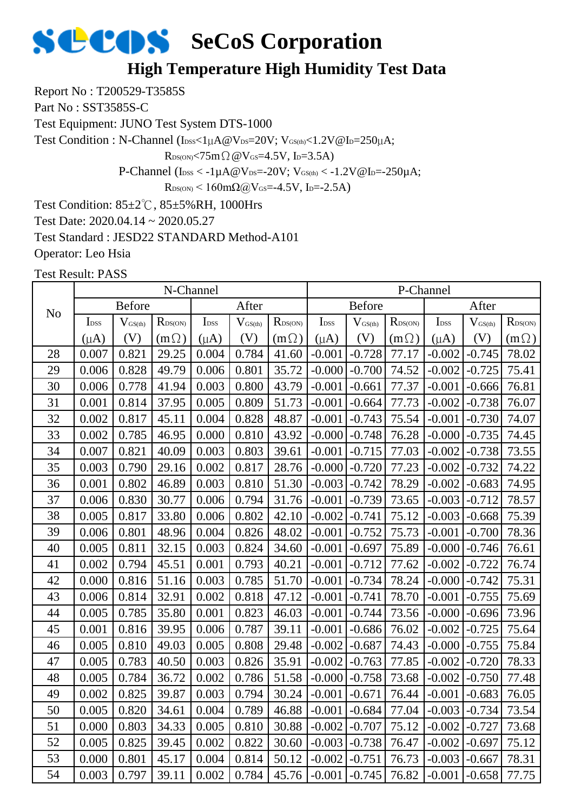### **SCOS** SeCoS Corporation **High Temperature High Humidity Test Data**

Report No : T200529-T3585S

Part No : SST3585S-C

Test Equipment: JUNO Test System DTS-1000

Test Condition : N-Channel (IDSS<1µA@VDS=20V; VGS(th)<1.2V@ID=250µA;

 $R_{DS(ON)}$ <75m $\Omega$  @V $_{GS}$ =4.5V, I<sub>D</sub>=3.5A)

P-Channel ( $I_{DSS} < -1\mu A @V_{DS} = -20V$ ;  $V_{GS(th)} < -1.2V @I_{D} = -250\mu A$ ;

 $R_{DS(ON)}$  < 160mΩ@V<sub>GS</sub>=-4.5V, I<sub>D</sub>=-2.5A)

Test Condition: 85±2℃, 85±5%RH, 1000Hrs

Test Date: 2020.04.14 ~ 2020.05.27

Test Standard : JESD22 STANDARD Method-A101

Operator: Leo Hsia

|                |                  |               | N-Channel                  |                  |                       |                  |                  |               |                  | P-Channel        |                              |                  |
|----------------|------------------|---------------|----------------------------|------------------|-----------------------|------------------|------------------|---------------|------------------|------------------|------------------------------|------------------|
| N <sub>o</sub> |                  | <b>Before</b> |                            |                  | After                 |                  |                  | <b>Before</b> |                  |                  | After                        |                  |
|                | I <sub>DSS</sub> | $V_{GS(th)}$  | $R_{\text{DS}(\text{ON})}$ | I <sub>DSS</sub> | $V_{\mathrm{GS(th)}}$ | $R_{\rm DS(ON)}$ | I <sub>DSS</sub> | $V_{GS(th)}$  | $R_{\rm DS(ON)}$ | I <sub>DSS</sub> | $\mathbf{V}_{\text{GS(th)}}$ | $R_{\rm DS(ON)}$ |
|                | $(\mu A)$        | (V)           | $(m\Omega)$                | $(\mu A)$        | (V)                   | $(m\Omega)$      | $(\mu A)$        | (V)           | $(m\Omega)$      | $(\mu A)$        | (V)                          | $(m\Omega)$      |
| 28             | 0.007            | 0.821         | 29.25                      | 0.004            | 0.784                 | 41.60            | $-0.001$         | $-0.728$      | 77.17            | $-0.002$         | $-0.745$                     | 78.02            |
| 29             | 0.006            | 0.828         | 49.79                      | 0.006            | 0.801                 | 35.72            | $-0.000$         | $-0.700$      | 74.52            | $-0.002$         | $-0.725$                     | 75.41            |
| 30             | 0.006            | 0.778         | 41.94                      | 0.003            | 0.800                 | 43.79            | $-0.001$         | $-0.661$      | 77.37            | $-0.001$         | $-0.666$                     | 76.81            |
| 31             | 0.001            | 0.814         | 37.95                      | 0.005            | 0.809                 | 51.73            | $-0.001$         | $-0.664$      | 77.73            | $-0.002$         | $-0.738$                     | 76.07            |
| 32             | 0.002            | 0.817         | 45.11                      | 0.004            | 0.828                 | 48.87            | $-0.001$         | $-0.743$      | 75.54            | $-0.001$         | $-0.730$                     | 74.07            |
| 33             | 0.002            | 0.785         | 46.95                      | 0.000            | 0.810                 | 43.92            | $-0.000$         | $-0.748$      | 76.28            | $-0.000$         | $-0.735$                     | 74.45            |
| 34             | 0.007            | 0.821         | 40.09                      | 0.003            | 0.803                 | 39.61            | $-0.001$         | $-0.715$      | 77.03            | $-0.002$         | $-0.738$                     | 73.55            |
| 35             | 0.003            | 0.790         | 29.16                      | 0.002            | 0.817                 | 28.76            | $-0.000$         | $-0.720$      | 77.23            | $-0.002$         | $-0.732$                     | 74.22            |
| 36             | 0.001            | 0.802         | 46.89                      | 0.003            | 0.810                 | 51.30            | $-0.003$         | $-0.742$      | 78.29            | $-0.002$         | $-0.683$                     | 74.95            |
| 37             | 0.006            | 0.830         | 30.77                      | 0.006            | 0.794                 | 31.76            | $-0.001$         | $-0.739$      | 73.65            | $-0.003$         | $-0.712$                     | 78.57            |
| 38             | 0.005            | 0.817         | 33.80                      | 0.006            | 0.802                 | 42.10            | $-0.002$         | $-0.741$      | 75.12            | $-0.003$         | $-0.668$                     | 75.39            |
| 39             | 0.006            | 0.801         | 48.96                      | 0.004            | 0.826                 | 48.02            | $-0.001$         | $-0.752$      | 75.73            | $-0.001$         | $-0.700$                     | 78.36            |
| 40             | 0.005            | 0.811         | 32.15                      | 0.003            | 0.824                 | 34.60            | $-0.001$         | $-0.697$      | 75.89            | $-0.000$         | $-0.746$                     | 76.61            |
| 41             | 0.002            | 0.794         | 45.51                      | 0.001            | 0.793                 | 40.21            | $-0.001$         | $-0.712$      | 77.62            | $-0.002$         | $-0.722$                     | 76.74            |
| 42             | 0.000            | 0.816         | 51.16                      | 0.003            | 0.785                 | 51.70            | $-0.001$         | $-0.734$      | 78.24            | $-0.000$         | $-0.742$                     | 75.31            |
| 43             | 0.006            | 0.814         | 32.91                      | 0.002            | 0.818                 | 47.12            | $-0.001$         | $-0.741$      | 78.70            | $-0.001$         | $-0.755$                     | 75.69            |
| 44             | 0.005            | 0.785         | 35.80                      | 0.001            | 0.823                 | 46.03            | $-0.001$         | $-0.744$      | 73.56            | $-0.000$         | $-0.696$                     | 73.96            |
| 45             | 0.001            | 0.816         | 39.95                      | 0.006            | 0.787                 | 39.11            | $-0.001$         | $-0.686$      | 76.02            | $-0.002$         | $-0.725$                     | 75.64            |
| 46             | 0.005            | 0.810         | 49.03                      | 0.005            | 0.808                 | 29.48            | $-0.002$         | $-0.687$      | 74.43            | $-0.000$         | $-0.755$                     | 75.84            |
| 47             | 0.005            | 0.783         | 40.50                      | 0.003            | 0.826                 | 35.91            | $-0.002$         | $-0.763$      | 77.85            | $-0.002$         | $-0.720$                     | 78.33            |
| 48             | 0.005            | 0.784         | 36.72                      | 0.002            | 0.786                 | 51.58            | $-0.000$         | $-0.758$      | 73.68            | $-0.002$         | $-0.750$                     | 77.48            |
| 49             | 0.002            | 0.825         | 39.87                      | 0.003            | 0.794                 | 30.24            | $-0.001$         | $-0.671$      | 76.44            | $-0.001$         | $-0.683$                     | 76.05            |
| 50             | 0.005            | 0.820         | 34.61                      | 0.004            | 0.789                 | 46.88            | $-0.001$         | $-0.684$      | 77.04            | $-0.003$         | $-0.734$                     | 73.54            |
| 51             | 0.000            | 0.803         | 34.33                      | 0.005            | 0.810                 | 30.88            | $-0.002$         | $-0.707$      | 75.12            | $-0.002$         | $-0.727$                     | 73.68            |
| 52             | 0.005            | 0.825         | 39.45                      | 0.002            | 0.822                 | 30.60            | $-0.003$         | $-0.738$      | 76.47            | $-0.002$         | $-0.697$                     | 75.12            |
| 53             | 0.000            | 0.801         | 45.17                      | 0.004            | 0.814                 | 50.12            | $-0.002$         | $-0.751$      | 76.73            | $-0.003$         | $-0.667$                     | 78.31            |
| 54             | 0.003            | 0.797         | 39.11                      | 0.002            | 0.784                 | 45.76            | $-0.001$         | $-0.745$      | 76.82            | $-0.001$         | $-0.658$                     | 77.75            |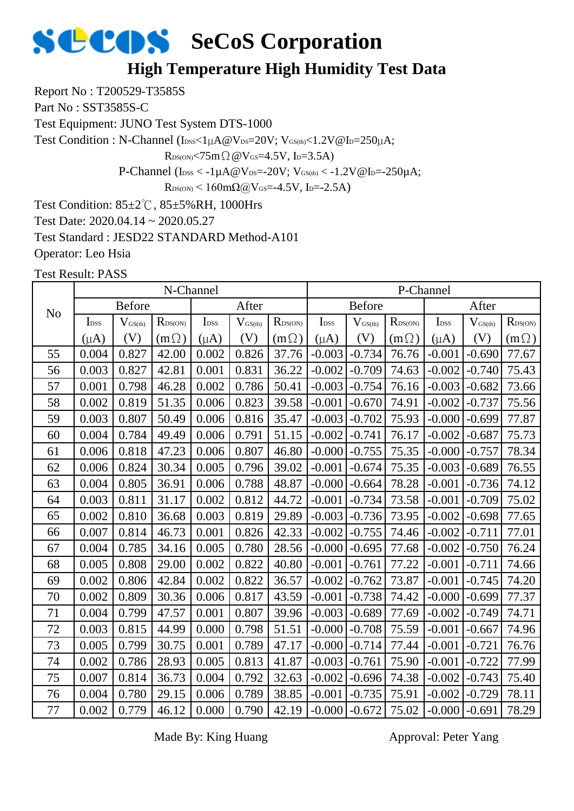### **SCOS** SeCoS Corporation **High Temperature High Humidity Test Data**

Report No : T200529-T3585S

Part No : SST3585S-C

Test Equipment: JUNO Test System DTS-1000

Test Condition : N-Channel (IDSS<1µA@VDS=20V; VGS(th)<1.2V@ID=250µA;

 $R_{DS(ON)} < 75m \Omega \omega V_{GS} = 4.5V$ , I<sub>D</sub>=3.5A)

P-Channel ( $I_{DSS} < -1\mu A @V_{DS} = -20V$ ;  $V_{GS(th)} < -1.2V @I_{D} = -250\mu A$ ;

 $R_{DS(ON)}$  < 160m $\Omega$ @V<sub>GS</sub>=-4.5V, I<sub>D</sub>=-2.5A)

Test Condition: 85±2℃, 85±5%RH, 1000Hrs

Test Date: 2020.04.14 ~ 2020.05.27

Test Standard : JESD22 STANDARD Method-A101

Operator: Leo Hsia

Test Result: PASS

|                |                  |                     | N-Channel                  |                  |              |              |                  |                     |                  | P-Channel        |                  |                  |
|----------------|------------------|---------------------|----------------------------|------------------|--------------|--------------|------------------|---------------------|------------------|------------------|------------------|------------------|
| N <sub>o</sub> |                  | <b>Before</b>       |                            |                  | After        |              |                  | <b>Before</b>       |                  |                  | After            |                  |
|                | I <sub>DSS</sub> | $V_{\text{GS(th)}}$ | $R_{\text{DS}(\text{ON})}$ | I <sub>DSS</sub> | $V_{GS(th)}$ | $R_{DS(ON)}$ | I <sub>DSS</sub> | $V_{\text{GS(th)}}$ | $R_{\rm DS(ON)}$ | I <sub>DSS</sub> | $V_{\rm GS(th)}$ | $R_{\rm DS(ON)}$ |
|                | $(\mu A)$        | (V)                 | $(m\Omega)$                | $(\mu A)$        | (V)          | $(m\Omega)$  | $(\mu A)$        | (V)                 | $(m\Omega)$      | $(\mu A)$        | (V)              | $(m\Omega)$      |
| 55             | 0.004            | 0.827               | 42.00                      | 0.002            | 0.826        | 37.76        | $-0.003$         | $-0.734$            | 76.76            | $-0.001$         | $-0.690$         | 77.67            |
| 56             | 0.003            | 0.827               | 42.81                      | 0.001            | 0.831        | 36.22        | $-0.002$         | $-0.709$            | 74.63            | $-0.002$         | $-0.740$         | 75.43            |
| 57             | 0.001            | 0.798               | 46.28                      | 0.002            | 0.786        | 50.41        | $-0.003$         | $-0.754$            | 76.16            | $-0.003$         | $-0.682$         | 73.66            |
| 58             | 0.002            | 0.819               | 51.35                      | 0.006            | 0.823        | 39.58        | $-0.001$         | $-0.670$            | 74.91            | $-0.002$         | $-0.737$         | 75.56            |
| 59             | 0.003            | 0.807               | 50.49                      | 0.006            | 0.816        | 35.47        | $-0.003$         | $-0.702$            | 75.93            | $-0.000$         | $-0.699$         | 77.87            |
| 60             | 0.004            | 0.784               | 49.49                      | 0.006            | 0.791        | 51.15        | $-0.002$         | $-0.741$            | 76.17            | $-0.002$         | $-0.687$         | 75.73            |
| 61             | 0.006            | 0.818               | 47.23                      | 0.006            | 0.807        | 46.80        | $-0.000$         | $-0.755$            | 75.35            | $-0.000$         | $-0.757$         | 78.34            |
| 62             | 0.006            | 0.824               | 30.34                      | 0.005            | 0.796        | 39.02        | $-0.001$         | $-0.674$            | 75.35            | $-0.003$         | $-0.689$         | 76.55            |
| 63             | 0.004            | 0.805               | 36.91                      | 0.006            | 0.788        | 48.87        | $-0.000$         | $-0.664$            | 78.28            | $-0.001$         | $-0.736$         | 74.12            |
| 64             | 0.003            | 0.811               | 31.17                      | 0.002            | 0.812        | 44.72        | $-0.001$         | $-0.734$            | 73.58            | $-0.001$         | $-0.709$         | 75.02            |
| 65             | 0.002            | 0.810               | 36.68                      | 0.003            | 0.819        | 29.89        | $-0.003$         | $-0.736$            | 73.95            | $-0.002$         | $-0.698$         | 77.65            |
| 66             | 0.007            | 0.814               | 46.73                      | 0.001            | 0.826        | 42.33        | $-0.002$         | $-0.755$            | 74.46            | $-0.002$         | $-0.711$         | 77.01            |
| 67             | 0.004            | 0.785               | 34.16                      | 0.005            | 0.780        | 28.56        | $-0.000$         | $-0.695$            | 77.68            | $-0.002$         | $-0.750$         | 76.24            |
| 68             | 0.005            | 0.808               | 29.00                      | 0.002            | 0.822        | 40.80        | $-0.001$         | $-0.761$            | 77.22            | $-0.001$         | $-0.711$         | 74.66            |
| 69             | 0.002            | 0.806               | 42.84                      | 0.002            | 0.822        | 36.57        | $-0.002$         | $-0.762$            | 73.87            | $-0.001$         | $-0.745$         | 74.20            |
| 70             | 0.002            | 0.809               | 30.36                      | 0.006            | 0.817        | 43.59        | $-0.001$         | $-0.738$            | 74.42            | $-0.000$         | $-0.699$         | 77.37            |
| 71             | 0.004            | 0.799               | 47.57                      | 0.001            | 0.807        | 39.96        | $-0.003$         | $-0.689$            | 77.69            | $-0.002$         | $-0.749$         | 74.71            |
| 72             | 0.003            | 0.815               | 44.99                      | 0.000            | 0.798        | 51.51        | $-0.000$         | $-0.708$            | 75.59            | $-0.001$         | $-0.667$         | 74.96            |
| 73             | 0.005            | 0.799               | 30.75                      | 0.001            | 0.789        | 47.17        | $-0.000$         | $-0.714$            | 77.44            | $-0.001$         | $-0.721$         | 76.76            |
| 74             | 0.002            | 0.786               | 28.93                      | 0.005            | 0.813        | 41.87        | $-0.003$         | $-0.761$            | 75.90            | $-0.001$         | $-0.722$         | 77.99            |
| 75             | 0.007            | 0.814               | 36.73                      | 0.004            | 0.792        | 32.63        | $-0.002$         | $-0.696$            | 74.38            | $-0.002$         | $-0.743$         | 75.40            |
| 76             | 0.004            | 0.780               | 29.15                      | 0.006            | 0.789        | 38.85        | $-0.001$         | $-0.735$            | 75.91            | $-0.002$         | $-0.729$         | 78.11            |
| 77             | 0.002            | 0.779               | 46.12                      | 0.000            | 0.790        | 42.19        | $-0.000$         | $-0.672$            | 75.02            | $-0.000$         | $-0.691$         | 78.29            |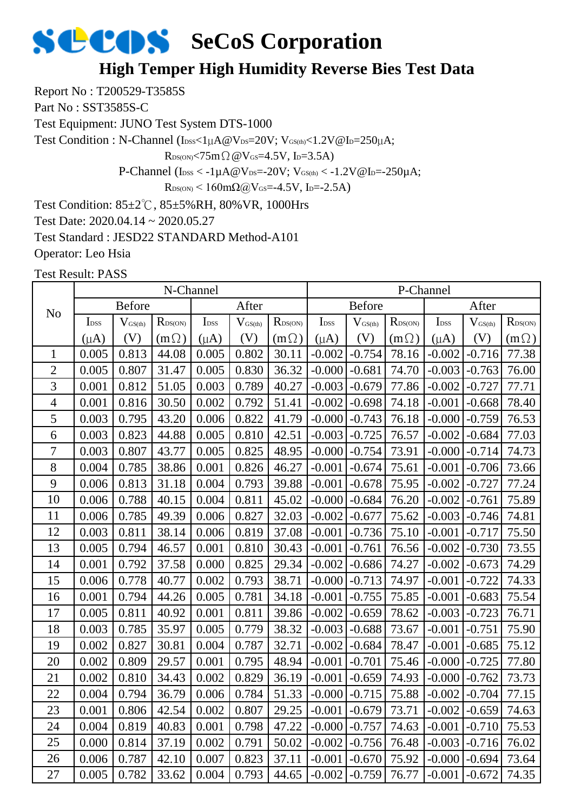#### **High Temper High Humidity Reverse Bies Test Data**

Report No : T200529-T3585S

Part No : SST3585S-C

Test Equipment: JUNO Test System DTS-1000

Test Condition : N-Channel (IDSS<1µA@VDS=20V; VGS(th)<1.2V@ID=250µA;

 $R_{DS(ON)}$ <75m $\Omega$  @V $_{GS}$ =4.5V, I<sub>D</sub>=3.5A)

P-Channel ( $I_{DSS} < -1\mu A @V_{DS} = -20V$ ;  $V_{GS(th)} < -1.2V @I_{D} = -250\mu A$ ;

 $R_{DS(ON)}$  < 160mΩ@V<sub>GS</sub>=-4.5V, I<sub>D</sub>=-2.5A)

Test Condition: 85±2℃, 85±5%RH, 80%VR, 1000Hrs

Test Date: 2020.04.14 ~ 2020.05.27

Test Standard : JESD22 STANDARD Method-A101

Operator: Leo Hsia

|                |                  |                     | N-Channel    |                  |                     |                  |                  |                              |                  | P-Channel        |                     |                  |
|----------------|------------------|---------------------|--------------|------------------|---------------------|------------------|------------------|------------------------------|------------------|------------------|---------------------|------------------|
| N <sub>o</sub> |                  | <b>Before</b>       |              |                  | After               |                  |                  | <b>Before</b>                |                  |                  | After               |                  |
|                | I <sub>DSS</sub> | $V_{\text{GS(th)}}$ | $R_{DS(ON)}$ | I <sub>DSS</sub> | $V_{\text{GS(th)}}$ | $R_{\rm DS(ON)}$ | I <sub>DSS</sub> | $\mathbf{V}_{\text{GS(th)}}$ | $R_{\rm DS(ON)}$ | I <sub>DSS</sub> | $V_{\text{GS(th)}}$ | $R_{\rm DS(ON)}$ |
|                | $(\mu A)$        | (V)                 | $(m\Omega)$  | $(\mu A)$        | (V)                 | $(m\Omega)$      | $(\mu A)$        | (V)                          | $(m\Omega)$      | $(\mu A)$        | (V)                 | $(m\Omega)$      |
| $\mathbf{1}$   | 0.005            | 0.813               | 44.08        | 0.005            | 0.802               | 30.11            | $-0.002$         | $-0.754$                     | 78.16            | $-0.002$         | $-0.716$            | 77.38            |
| $\overline{c}$ | 0.005            | 0.807               | 31.47        | 0.005            | 0.830               | 36.32            | $-0.000$         | $-0.681$                     | 74.70            | $-0.003$         | $-0.763$            | 76.00            |
| 3              | 0.001            | 0.812               | 51.05        | 0.003            | 0.789               | 40.27            | $-0.003$         | $-0.679$                     | 77.86            | $-0.002$         | $-0.727$            | 77.71            |
| $\overline{4}$ | 0.001            | 0.816               | 30.50        | 0.002            | 0.792               | 51.41            | $-0.002$         | $-0.698$                     | 74.18            | $-0.001$         | $-0.668$            | 78.40            |
| 5              | 0.003            | 0.795               | 43.20        | 0.006            | 0.822               | 41.79            | $-0.000$         | $-0.743$                     | 76.18            | $-0.000$         | $-0.759$            | 76.53            |
| 6              | 0.003            | 0.823               | 44.88        | 0.005            | 0.810               | 42.51            | $-0.003$         | $-0.725$                     | 76.57            | $-0.002$         | $-0.684$            | 77.03            |
| 7              | 0.003            | 0.807               | 43.77        | 0.005            | 0.825               | 48.95            | $-0.000$         | $-0.754$                     | 73.91            | $-0.000$         | $-0.714$            | 74.73            |
| 8              | 0.004            | 0.785               | 38.86        | 0.001            | 0.826               | 46.27            | $-0.001$         | $-0.674$                     | 75.61            | $-0.001$         | $-0.706$            | 73.66            |
| 9              | 0.006            | 0.813               | 31.18        | 0.004            | 0.793               | 39.88            | $-0.001$         | $-0.678$                     | 75.95            | $-0.002$         | $-0.727$            | 77.24            |
| 10             | 0.006            | 0.788               | 40.15        | 0.004            | 0.811               | 45.02            | $-0.000$         | $-0.684$                     | 76.20            | $-0.002$         | $-0.761$            | 75.89            |
| 11             | 0.006            | 0.785               | 49.39        | 0.006            | 0.827               | 32.03            | $-0.002$         | $-0.677$                     | 75.62            | $-0.003$         | $-0.746$            | 74.81            |
| 12             | 0.003            | 0.811               | 38.14        | 0.006            | 0.819               | 37.08            | $-0.001$         | $-0.736$                     | 75.10            | $-0.001$         | $-0.717$            | 75.50            |
| 13             | 0.005            | 0.794               | 46.57        | 0.001            | 0.810               | 30.43            | $-0.001$         | $-0.761$                     | 76.56            | $-0.002$         | $-0.730$            | 73.55            |
| 14             | 0.001            | 0.792               | 37.58        | 0.000            | 0.825               | 29.34            | $-0.002$         | $-0.686$                     | 74.27            | $-0.002$         | $-0.673$            | 74.29            |
| 15             | 0.006            | 0.778               | 40.77        | 0.002            | 0.793               | 38.71            | $-0.000$         | $-0.713$                     | 74.97            | $-0.001$         | $-0.722$            | 74.33            |
| 16             | 0.001            | 0.794               | 44.26        | 0.005            | 0.781               | 34.18            | $-0.001$         | $-0.755$                     | 75.85            | $-0.001$         | $-0.683$            | 75.54            |
| 17             | 0.005            | 0.811               | 40.92        | 0.001            | 0.811               | 39.86            | $-0.002$         | $-0.659$                     | 78.62            | $-0.003$         | $-0.723$            | 76.71            |
| 18             | 0.003            | 0.785               | 35.97        | 0.005            | 0.779               | 38.32            | $-0.003$         | $-0.688$                     | 73.67            | $-0.001$         | $-0.751$            | 75.90            |
| 19             | 0.002            | 0.827               | 30.81        | 0.004            | 0.787               | 32.71            | $-0.002$         | $-0.684$                     | 78.47            | $-0.001$         | $-0.685$            | 75.12            |
| 20             | 0.002            | 0.809               | 29.57        | 0.001            | 0.795               | 48.94            | $-0.001$         | $-0.701$                     | 75.46            | $-0.000$         | $-0.725$            | 77.80            |
| 21             | 0.002            | 0.810               | 34.43        | 0.002            | 0.829               | 36.19            | $-0.001$         | $-0.659$                     | 74.93            | $-0.000$         | $-0.762$            | 73.73            |
| 22             | 0.004            | 0.794               | 36.79        | 0.006            | 0.784               | 51.33            | $-0.000$         | $-0.715$                     | 75.88            | $-0.002$         | $-0.704$            | 77.15            |
| 23             | 0.001            | 0.806               | 42.54        | 0.002            | 0.807               | 29.25            | $-0.001$         | $-0.679$                     | 73.71            | $-0.002$         | $-0.659$            | 74.63            |
| 24             | 0.004            | 0.819               | 40.83        | 0.001            | 0.798               | 47.22            | $-0.000$         | $-0.757$                     | 74.63            | $-0.001$         | $-0.710$            | 75.53            |
| 25             | 0.000            | 0.814               | 37.19        | 0.002            | 0.791               | 50.02            | $-0.002$         | $-0.756$                     | 76.48            | $-0.003$         | $-0.716$            | 76.02            |
| 26             | 0.006            | 0.787               | 42.10        | 0.007            | 0.823               | 37.11            | $-0.001$         | $-0.670$                     | 75.92            | $-0.000$         | $-0.694$            | 73.64            |
| 27             | 0.005            | 0.782               | 33.62        | 0.004            | 0.793               | 44.65            | $-0.002$         | $-0.759$                     | 76.77            | $-0.001$         | $-0.672$            | 74.35            |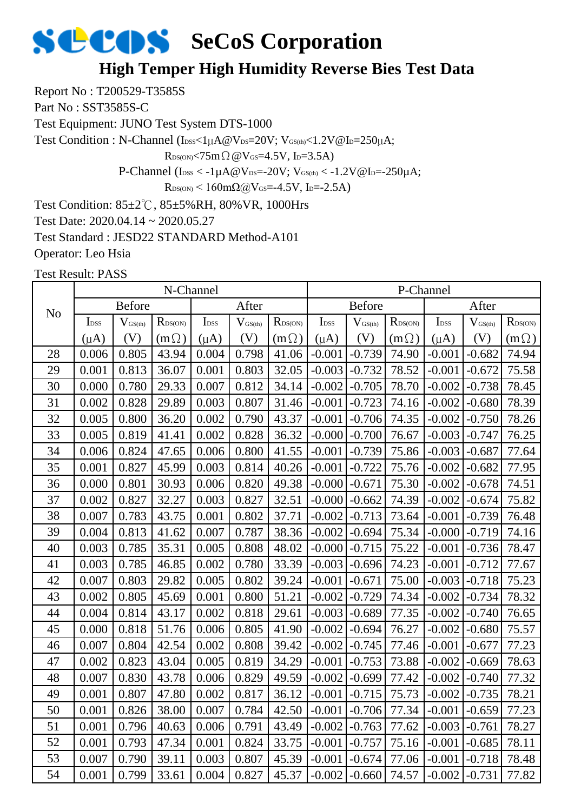#### **High Temper High Humidity Reverse Bies Test Data**

Report No : T200529-T3585S

Part No : SST3585S-C

Test Equipment: JUNO Test System DTS-1000

Test Condition : N-Channel (IDSS<1µA@VDS=20V; VGS(th)<1.2V@ID=250µA;

 $R_{DS(ON)}$ <75m $\Omega$  @V $_{GS}$ =4.5V, I<sub>D</sub>=3.5A)

P-Channel ( $I_{DSS} < -1\mu A @V_{DS} = -20V$ ;  $V_{GS(th)} < -1.2V @I_{D} = -250\mu A$ ;

 $R_{DS(ON)}$  < 160mΩ@V<sub>GS</sub>=-4.5V, I<sub>D</sub>=-2.5A)

Test Condition: 85±2℃, 85±5%RH, 80%VR, 1000Hrs

Test Date: 2020.04.14 ~ 2020.05.27

Test Standard : JESD22 STANDARD Method-A101

Operator: Leo Hsia

|                |                  |               | N-Channel        |                             |                  |                  |                             |               |                  | P-Channel        |                     |                  |
|----------------|------------------|---------------|------------------|-----------------------------|------------------|------------------|-----------------------------|---------------|------------------|------------------|---------------------|------------------|
| N <sub>o</sub> |                  | <b>Before</b> |                  |                             | After            |                  |                             | <b>Before</b> |                  |                  | After               |                  |
|                | I <sub>DSS</sub> | $V_{GS(th)}$  | $R_{\rm DS(ON)}$ | $\mathbf{I}_{\mathrm{DSS}}$ | $V_{\rm GS(th)}$ | $R_{\rm DS(ON)}$ | $\mathbf{I}_{\mathrm{DSS}}$ | $V_{GS(th)}$  | $R_{\rm DS(ON)}$ | I <sub>DSS</sub> | $V_{\text{GS(th)}}$ | $R_{\rm DS(ON)}$ |
|                | $(\mu A)$        | (V)           | $(m\Omega)$      | $(\mu A)$                   | (V)              | $(m\Omega)$      | $(\mu A)$                   | (V)           | $(m\Omega)$      | $(\mu A)$        | (V)                 | $(m\Omega)$      |
| 28             | 0.006            | 0.805         | 43.94            | 0.004                       | 0.798            | 41.06            | $-0.001$                    | $-0.739$      | 74.90            | $-0.001$         | $-0.682$            | 74.94            |
| 29             | 0.001            | 0.813         | 36.07            | 0.001                       | 0.803            | 32.05            | $-0.003$                    | $-0.732$      | 78.52            | $-0.001$         | $-0.672$            | 75.58            |
| 30             | 0.000            | 0.780         | 29.33            | 0.007                       | 0.812            | 34.14            | $-0.002$                    | $-0.705$      | 78.70            | $-0.002$         | $-0.738$            | 78.45            |
| 31             | 0.002            | 0.828         | 29.89            | 0.003                       | 0.807            | 31.46            | $-0.001$                    | $-0.723$      | 74.16            | $-0.002$         | $-0.680$            | 78.39            |
| 32             | 0.005            | 0.800         | 36.20            | 0.002                       | 0.790            | 43.37            | $-0.001$                    | $-0.706$      | 74.35            | $-0.002$         | $-0.750$            | 78.26            |
| 33             | 0.005            | 0.819         | 41.41            | 0.002                       | 0.828            | 36.32            | $-0.000$                    | $-0.700$      | 76.67            | $-0.003$         | $-0.747$            | 76.25            |
| 34             | 0.006            | 0.824         | 47.65            | 0.006                       | 0.800            | 41.55            | $-0.001$                    | $-0.739$      | 75.86            | $-0.003$         | $-0.687$            | 77.64            |
| 35             | 0.001            | 0.827         | 45.99            | 0.003                       | 0.814            | 40.26            | $-0.001$                    | $-0.722$      | 75.76            | $-0.002$         | $-0.682$            | 77.95            |
| 36             | 0.000            | 0.801         | 30.93            | 0.006                       | 0.820            | 49.38            | $-0.000$                    | $-0.671$      | 75.30            | $-0.002$         | $-0.678$            | 74.51            |
| 37             | 0.002            | 0.827         | 32.27            | 0.003                       | 0.827            | 32.51            | $-0.000$                    | $-0.662$      | 74.39            | $-0.002$         | $-0.674$            | 75.82            |
| 38             | 0.007            | 0.783         | 43.75            | 0.001                       | 0.802            | 37.71            | $-0.002$                    | $-0.713$      | 73.64            | $-0.001$         | $-0.739$            | 76.48            |
| 39             | 0.004            | 0.813         | 41.62            | 0.007                       | 0.787            | 38.36            | $-0.002$                    | $-0.694$      | 75.34            | $-0.000$         | $-0.719$            | 74.16            |
| 40             | 0.003            | 0.785         | 35.31            | 0.005                       | 0.808            | 48.02            | $-0.000$                    | $-0.715$      | 75.22            | $-0.001$         | $-0.736$            | 78.47            |
| 41             | 0.003            | 0.785         | 46.85            | 0.002                       | 0.780            | 33.39            | $-0.003$                    | $-0.696$      | 74.23            | $-0.001$         | $-0.712$            | 77.67            |
| 42             | 0.007            | 0.803         | 29.82            | 0.005                       | 0.802            | 39.24            | $-0.001$                    | $-0.671$      | 75.00            | $-0.003$         | $-0.718$            | 75.23            |
| 43             | 0.002            | 0.805         | 45.69            | 0.001                       | 0.800            | 51.21            | $-0.002$                    | $-0.729$      | 74.34            | $-0.002$         | $-0.734$            | 78.32            |
| 44             | 0.004            | 0.814         | 43.17            | 0.002                       | 0.818            | 29.61            | $-0.003$                    | $-0.689$      | 77.35            | $-0.002$         | $-0.740$            | 76.65            |
| 45             | 0.000            | 0.818         | 51.76            | 0.006                       | 0.805            | 41.90            | $-0.002$                    | $-0.694$      | 76.27            | $-0.002$         | $-0.680$            | 75.57            |
| 46             | 0.007            | 0.804         | 42.54            | 0.002                       | 0.808            | 39.42            | $-0.002$                    | $-0.745$      | 77.46            | $-0.001$         | $-0.677$            | 77.23            |
| 47             | 0.002            | 0.823         | 43.04            | 0.005                       | 0.819            | 34.29            | $-0.001$                    | $-0.753$      | 73.88            | $-0.002$         | $-0.669$            | 78.63            |
| 48             | 0.007            | 0.830         | 43.78            | 0.006                       | 0.829            | 49.59            | $-0.002$                    | $-0.699$      | 77.42            | $-0.002$         | $-0.740$            | 77.32            |
| 49             | 0.001            | 0.807         | 47.80            | 0.002                       | 0.817            | 36.12            | $-0.001$                    | $-0.715$      | 75.73            | $-0.002$         | $-0.735$            | 78.21            |
| 50             | 0.001            | 0.826         | 38.00            | 0.007                       | 0.784            | 42.50            | $-0.001$                    | $-0.706$      | 77.34            | $-0.001$         | $-0.659$            | 77.23            |
| 51             | 0.001            | 0.796         | 40.63            | 0.006                       | 0.791            | 43.49            | $-0.002$                    | $-0.763$      | 77.62            | $-0.003$         | $-0.761$            | 78.27            |
| 52             | 0.001            | 0.793         | 47.34            | 0.001                       | 0.824            | 33.75            | $-0.001$                    | $-0.757$      | 75.16            | $-0.001$         | $-0.685$            | 78.11            |
| 53             | 0.007            | 0.790         | 39.11            | 0.003                       | 0.807            | 45.39            | $-0.001$                    | $-0.674$      | 77.06            | $-0.001$         | $-0.718$            | 78.48            |
| 54             | 0.001            | 0.799         | 33.61            | 0.004                       | 0.827            | 45.37            | $-0.002$                    | $-0.660$      | 74.57            | $-0.002$         | $-0.731$            | 77.82            |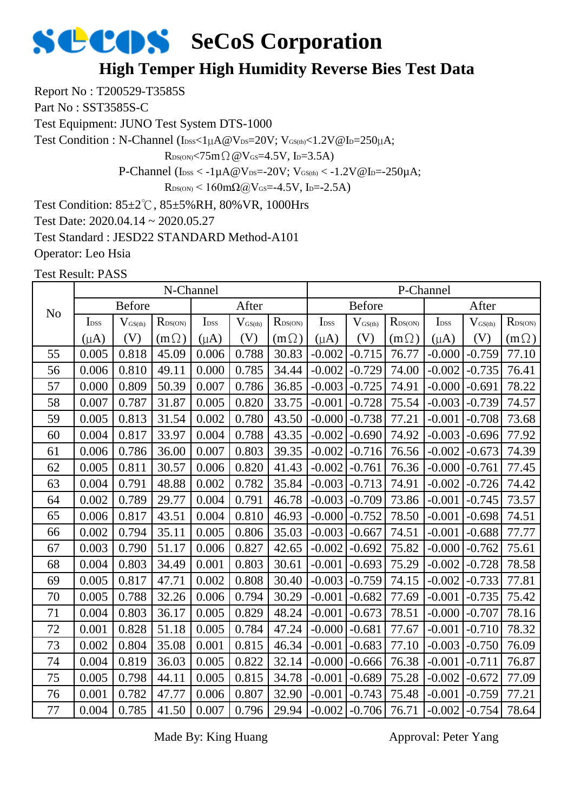#### **High Temper High Humidity Reverse Bies Test Data**

Report No : T200529-T3585S

Part No : SST3585S-C

Test Equipment: JUNO Test System DTS-1000

Test Condition : N-Channel (Ibss<1µA@Vps=20V; VGS(th)<1.2V@Ip=250µA;

 $R_{DS(ON)} < 75m \Omega \omega V_{GS} = 4.5V$ , I<sub>D</sub>=3.5A)

P-Channel ( $I_{\text{DSS}} < -1 \mu A @V_{\text{DS}} = -20 V$ ;  $V_{\text{GS(th)}} < -1.2 V @I_{\text{D}} = -250 \mu A$ ;

 $R_{DS(ON)}$  < 160m $\Omega$ @V<sub>GS</sub>=-4.5V, I<sub>D</sub>=-2.5A)

Test Condition: 85±2℃, 85±5%RH, 80%VR, 1000Hrs

Test Date: 2020.04.14 ~ 2020.05.27

Test Standard : JESD22 STANDARD Method-A101

Operator: Leo Hsia

Test Result: PASS

|                |                  |                     | N-Channel                  |                             |              |              |                  |                     |                  | P-Channel        |              |                  |
|----------------|------------------|---------------------|----------------------------|-----------------------------|--------------|--------------|------------------|---------------------|------------------|------------------|--------------|------------------|
| N <sub>o</sub> |                  | <b>Before</b>       |                            |                             | After        |              |                  | <b>Before</b>       |                  |                  | After        |                  |
|                | I <sub>DSS</sub> | $V_{\text{GS(th)}}$ | $R_{\text{DS}(\text{ON})}$ | $\mathbf{I}_{\mathrm{DSS}}$ | $V_{GS(th)}$ | $R_{DS(ON)}$ | I <sub>DSS</sub> | $V_{\text{GS(th)}}$ | $R_{\rm DS(ON)}$ | I <sub>DSS</sub> | $V_{GS(th)}$ | $R_{\rm DS(ON)}$ |
|                | $(\mu A)$        | (V)                 | $(m\Omega)$                | $(\mu A)$                   | (V)          | $(m\Omega)$  | $(\mu A)$        | (V)                 | $(m\Omega)$      | $(\mu A)$        | (V)          | $(m\Omega)$      |
| 55             | 0.005            | 0.818               | 45.09                      | 0.006                       | 0.788        | 30.83        | $-0.002$         | $-0.715$            | 76.77            | $-0.000$         | $-0.759$     | 77.10            |
| 56             | 0.006            | 0.810               | 49.11                      | 0.000                       | 0.785        | 34.44        | $-0.002$         | $-0.729$            | 74.00            | $-0.002$         | $-0.735$     | 76.41            |
| 57             | 0.000            | 0.809               | 50.39                      | 0.007                       | 0.786        | 36.85        | $-0.003$         | $-0.725$            | 74.91            | $-0.000$         | $-0.691$     | 78.22            |
| 58             | 0.007            | 0.787               | 31.87                      | 0.005                       | 0.820        | 33.75        | $-0.001$         | $-0.728$            | 75.54            | $-0.003$         | $-0.739$     | 74.57            |
| 59             | 0.005            | 0.813               | 31.54                      | 0.002                       | 0.780        | 43.50        | $-0.000$         | $-0.738$            | 77.21            | $-0.001$         | $-0.708$     | 73.68            |
| 60             | 0.004            | 0.817               | 33.97                      | 0.004                       | 0.788        | 43.35        | $-0.002$         | $-0.690$            | 74.92            | $-0.003$         | $-0.696$     | 77.92            |
| 61             | 0.006            | 0.786               | 36.00                      | 0.007                       | 0.803        | 39.35        | $-0.002$         | $-0.716$            | 76.56            | $-0.002$         | $-0.673$     | 74.39            |
| 62             | 0.005            | 0.811               | 30.57                      | 0.006                       | 0.820        | 41.43        | $-0.002$         | $-0.761$            | 76.36            | $-0.000$         | $-0.761$     | 77.45            |
| 63             | 0.004            | 0.791               | 48.88                      | 0.002                       | 0.782        | 35.84        | $-0.003$         | $-0.713$            | 74.91            | $-0.002$         | $-0.726$     | 74.42            |
| 64             | 0.002            | 0.789               | 29.77                      | 0.004                       | 0.791        | 46.78        | $-0.003$         | $-0.709$            | 73.86            | $-0.001$         | $-0.745$     | 73.57            |
| 65             | 0.006            | 0.817               | 43.51                      | 0.004                       | 0.810        | 46.93        | $-0.000$         | $-0.752$            | 78.50            | $-0.001$         | $-0.698$     | 74.51            |
| 66             | 0.002            | 0.794               | 35.11                      | 0.005                       | 0.806        | 35.03        | $-0.003$         | $-0.667$            | 74.51            | $-0.001$         | $-0.688$     | 77.77            |
| 67             | 0.003            | 0.790               | 51.17                      | 0.006                       | 0.827        | 42.65        | $-0.002$         | $-0.692$            | 75.82            | $-0.000$         | $-0.762$     | 75.61            |
| 68             | 0.004            | 0.803               | 34.49                      | 0.001                       | 0.803        | 30.61        | $-0.001$         | $-0.693$            | 75.29            | $-0.002$         | $-0.728$     | 78.58            |
| 69             | 0.005            | 0.817               | 47.71                      | 0.002                       | 0.808        | 30.40        | $-0.003$         | $-0.759$            | 74.15            | $-0.002$         | $-0.733$     | 77.81            |
| 70             | 0.005            | 0.788               | 32.26                      | 0.006                       | 0.794        | 30.29        | $-0.001$         | $-0.682$            | 77.69            | $-0.001$         | $-0.735$     | 75.42            |
| 71             | 0.004            | 0.803               | 36.17                      | 0.005                       | 0.829        | 48.24        | $-0.001$         | $-0.673$            | 78.51            | $-0.000$         | $-0.707$     | 78.16            |
| 72             | 0.001            | 0.828               | 51.18                      | 0.005                       | 0.784        | 47.24        | $-0.000$         | $-0.681$            | 77.67            | $-0.001$         | $-0.710$     | 78.32            |
| 73             | 0.002            | 0.804               | 35.08                      | 0.001                       | 0.815        | 46.34        | $-0.001$         | $-0.683$            | 77.10            | $-0.003$         | $-0.750$     | 76.09            |
| 74             | 0.004            | 0.819               | 36.03                      | 0.005                       | 0.822        | 32.14        | $-0.000$         | $-0.666$            | 76.38            | $-0.001$         | $-0.711$     | 76.87            |
| 75             | 0.005            | 0.798               | 44.11                      | 0.005                       | 0.815        | 34.78        | $-0.001$         | $-0.689$            | 75.28            | $-0.002$         | $-0.672$     | 77.09            |
| 76             | 0.001            | 0.782               | 47.77                      | 0.006                       | 0.807        | 32.90        | $-0.001$         | $-0.743$            | 75.48            | $-0.001$         | $-0.759$     | 77.21            |
| 77             | 0.004            | 0.785               | 41.50                      | 0.007                       | 0.796        | 29.94        | $-0.002$         | $-0.706$            | 76.71            | $-0.002$         | $-0.754$     | 78.64            |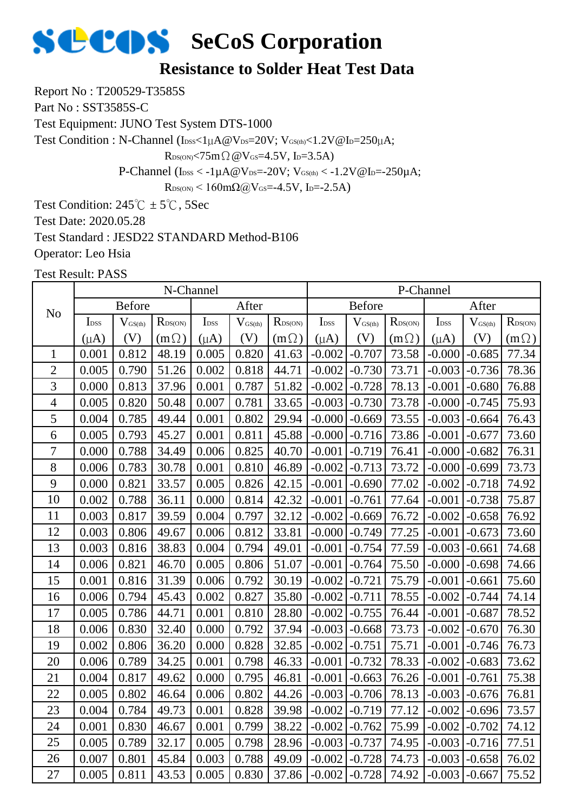#### **Resistance to Solder Heat Test Data**

Report No : T200529-T3585S

Part No : SST3585S-C

Test Equipment: JUNO Test System DTS-1000

Test Condition : N-Channel ( $I_{\text{DSS}}<1\mu A@V_{\text{DS}}=20V$ ;  $V_{\text{GS(th}}<1.2V@I_{\text{D}}=250\mu A$ ;

 $R_{DS(ON)}$ <75m $\Omega$  @V $_{GS}$ =4.5V, I<sub>D</sub>=3.5A)

P-Channel ( $I_{DSS} < -1\mu A @V_{DS} = -20V$ ;  $V_{GS(th)} < -1.2V @I_{D} = -250\mu A$ ;

 $R_{DS(ON)}$  < 160mΩ@V<sub>GS</sub>=-4.5V, I<sub>D</sub>=-2.5A)

Test Condition:  $245^{\circ}$ C ±  $5^{\circ}$ C, 5Sec Test Date: 2020.05.28 Test Standard : JESD22 STANDARD Method-B106

Operator: Leo Hsia

|                |                  |                     | N-Channel        |                  |                     |                     |                  |                              |                  | P-Channel        |                     |                  |
|----------------|------------------|---------------------|------------------|------------------|---------------------|---------------------|------------------|------------------------------|------------------|------------------|---------------------|------------------|
| N <sub>o</sub> |                  | <b>Before</b>       |                  |                  | After               |                     |                  | <b>Before</b>                |                  |                  | After               |                  |
|                | I <sub>DSS</sub> | $V_{\text{GS(th)}}$ | $R_{\rm DS(ON)}$ | I <sub>DSS</sub> | $V_{\text{GS(th)}}$ | $R_{\text{DS(ON)}}$ | I <sub>DSS</sub> | $\mathbf{V}_{\text{GS(th)}}$ | $R_{\rm DS(ON)}$ | I <sub>DSS</sub> | $V_{\text{GS(th)}}$ | $R_{\rm DS(ON)}$ |
|                | $(\mu A)$        | (V)                 | $(m\Omega)$      | $(\mu A)$        | (V)                 | $(m\Omega)$         | $(\mu A)$        | (V)                          | $(m\Omega)$      | $(\mu A)$        | (V)                 | $(m\Omega)$      |
| $\mathbf{1}$   | 0.001            | 0.812               | 48.19            | 0.005            | 0.820               | 41.63               | $-0.002$         | $-0.707$                     | 73.58            | $-0.000$         | $-0.685$            | 77.34            |
| $\overline{2}$ | 0.005            | 0.790               | 51.26            | 0.002            | 0.818               | 44.71               | $-0.002$         | $-0.730$                     | 73.71            | $-0.003$         | $-0.736$            | 78.36            |
| 3              | 0.000            | 0.813               | 37.96            | 0.001            | 0.787               | 51.82               | $-0.002$         | $-0.728$                     | 78.13            | $-0.001$         | $-0.680$            | 76.88            |
| $\overline{4}$ | 0.005            | 0.820               | 50.48            | 0.007            | 0.781               | 33.65               | $-0.003$         | $-0.730$                     | 73.78            | $-0.000$         | $-0.745$            | 75.93            |
| 5              | 0.004            | 0.785               | 49.44            | 0.001            | 0.802               | 29.94               | $-0.000$         | $-0.669$                     | 73.55            | $-0.003$         | $-0.664$            | 76.43            |
| 6              | 0.005            | 0.793               | 45.27            | 0.001            | 0.811               | 45.88               | $-0.000$         | $-0.716$                     | 73.86            | $-0.001$         | $-0.677$            | 73.60            |
| 7              | 0.000            | 0.788               | 34.49            | 0.006            | 0.825               | 40.70               | $-0.001$         | $-0.719$                     | 76.41            | $-0.000$         | $-0.682$            | 76.31            |
| 8              | 0.006            | 0.783               | 30.78            | 0.001            | 0.810               | 46.89               | $-0.002$         | $-0.713$                     | 73.72            | $-0.000$         | $-0.699$            | 73.73            |
| 9              | 0.000            | 0.821               | 33.57            | 0.005            | 0.826               | 42.15               | $-0.001$         | $-0.690$                     | 77.02            | $-0.002$         | $-0.718$            | 74.92            |
| 10             | 0.002            | 0.788               | 36.11            | 0.000            | 0.814               | 42.32               | $-0.001$         | $-0.761$                     | 77.64            | $-0.001$         | $-0.738$            | 75.87            |
| 11             | 0.003            | 0.817               | 39.59            | 0.004            | 0.797               | 32.12               | $-0.002$         | $-0.669$                     | 76.72            | $-0.002$         | $-0.658$            | 76.92            |
| 12             | 0.003            | 0.806               | 49.67            | 0.006            | 0.812               | 33.81               | $-0.000$         | $-0.749$                     | 77.25            | $-0.001$         | $-0.673$            | 73.60            |
| 13             | 0.003            | 0.816               | 38.83            | 0.004            | 0.794               | 49.01               | $-0.001$         | $-0.754$                     | 77.59            | $-0.003$         | $-0.661$            | 74.68            |
| 14             | 0.006            | 0.821               | 46.70            | 0.005            | 0.806               | 51.07               | $-0.001$         | $-0.764$                     | 75.50            | $-0.000$         | $-0.698$            | 74.66            |
| 15             | 0.001            | 0.816               | 31.39            | 0.006            | 0.792               | 30.19               | $-0.002$         | $-0.721$                     | 75.79            | $-0.001$         | $-0.661$            | 75.60            |
| 16             | 0.006            | 0.794               | 45.43            | 0.002            | 0.827               | 35.80               | $-0.002$         | $-0.711$                     | 78.55            | $-0.002$         | $-0.744$            | 74.14            |
| 17             | 0.005            | 0.786               | 44.71            | 0.001            | 0.810               | 28.80               | $-0.002$         | $-0.755$                     | 76.44            | $-0.001$         | $-0.687$            | 78.52            |
| 18             | 0.006            | 0.830               | 32.40            | 0.000            | 0.792               | 37.94               | $-0.003$         | $-0.668$                     | 73.73            | $-0.002$         | $-0.670$            | 76.30            |
| 19             | 0.002            | 0.806               | 36.20            | 0.000            | 0.828               | 32.85               | $-0.002$         | $-0.751$                     | 75.71            | $-0.001$         | $-0.746$            | 76.73            |
| 20             | 0.006            | 0.789               | 34.25            | 0.001            | 0.798               | 46.33               | $-0.001$         | $-0.732$                     | 78.33            | $-0.002$         | $-0.683$            | 73.62            |
| 21             | 0.004            | 0.817               | 49.62            | 0.000            | 0.795               | 46.81               | $-0.001$         | $-0.663$                     | 76.26            | $-0.001$         | $-0.761$            | 75.38            |
| 22             | 0.005            | 0.802               | 46.64            | 0.006            | 0.802               | 44.26               | $-0.003$         | $-0.706$                     | 78.13            | $-0.003$         | $-0.676$            | 76.81            |
| 23             | 0.004            | 0.784               | 49.73            | 0.001            | 0.828               | 39.98               | $-0.002$         | $-0.719$                     | 77.12            | $-0.002$         | $-0.696$            | 73.57            |
| 24             | 0.001            | 0.830               | 46.67            | 0.001            | 0.799               | 38.22               | $-0.002$         | $-0.762$                     | 75.99            | $-0.002$         | $-0.702$            | 74.12            |
| 25             | 0.005            | 0.789               | 32.17            | 0.005            | 0.798               | 28.96               | $-0.003$         | $-0.737$                     | 74.95            | $-0.003$         | $-0.716$            | 77.51            |
| 26             | 0.007            | 0.801               | 45.84            | 0.003            | 0.788               | 49.09               | $-0.002$         | $-0.728$                     | 74.73            | $-0.003$         | $-0.658$            | 76.02            |
| 27             | 0.005            | 0.811               | 43.53            | 0.005            | 0.830               | 37.86               | $-0.002$         | $-0.728$                     | 74.92            | $-0.003$         | $-0.667$            | 75.52            |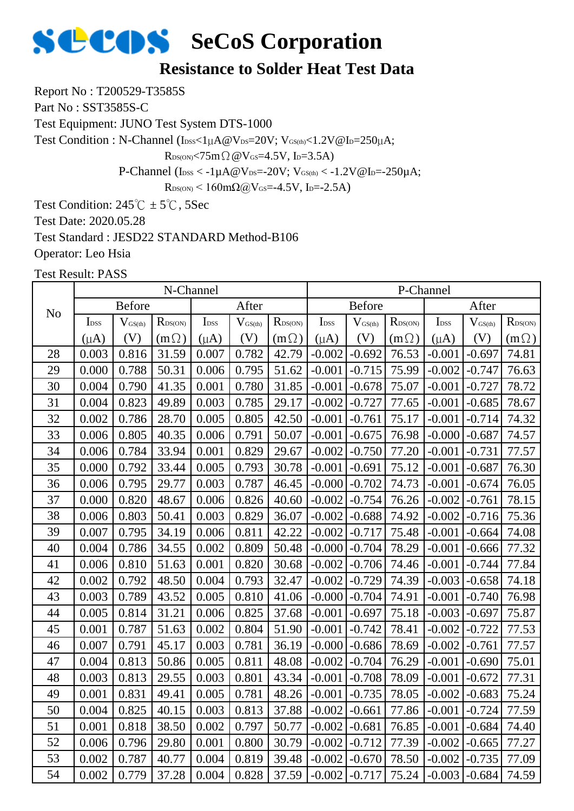#### **Resistance to Solder Heat Test Data**

Report No : T200529-T3585S

Part No : SST3585S-C

Test Equipment: JUNO Test System DTS-1000

Test Condition : N-Channel ( $I_{\text{DSS}}<1\mu A@V_{\text{DS}}=20V$ ;  $V_{\text{GS(th}}<1.2V@I_{\text{D}}=250\mu A$ ;

 $R_{DS(ON)}$ <75m $\Omega$  @V $_{GS}$ =4.5V, I<sub>D</sub>=3.5A)

P-Channel ( $I_{DSS} < -1\mu A @V_{DS} = -20V$ ;  $V_{GS(th)} < -1.2V @I_{D} = -250\mu A$ ;

 $R_{DS(ON)}$  < 160mΩ@V<sub>GS</sub>=-4.5V, I<sub>D</sub>=-2.5A)

Test Condition:  $245^{\circ}$ C ±  $5^{\circ}$ C, 5Sec Test Date: 2020.05.28 Test Standard : JESD22 STANDARD Method-B106

Operator: Leo Hsia

|                |                  |                              | N-Channel           |                  |                     |                  |                  |               |                  | P-Channel        |                     |                  |
|----------------|------------------|------------------------------|---------------------|------------------|---------------------|------------------|------------------|---------------|------------------|------------------|---------------------|------------------|
| N <sub>o</sub> |                  | <b>Before</b>                |                     |                  | After               |                  |                  | <b>Before</b> |                  |                  | After               |                  |
|                | I <sub>DSS</sub> | $\mathbf{V}_{\text{GS(th)}}$ | R <sub>DS(ON)</sub> | I <sub>DSS</sub> | $V_{\text{GS(th)}}$ | $R_{\rm DS(ON)}$ | I <sub>DSS</sub> | $V_{GS(th)}$  | $R_{\rm DS(ON)}$ | I <sub>DSS</sub> | $V_{\text{GS(th)}}$ | $R_{\rm DS(ON)}$ |
|                | $(\mu A)$        | (V)                          | $(m \Omega)$        | $(\mu A)$        | (V)                 | $(m\Omega)$      | $(\mu A)$        | (V)           | $(m\Omega)$      | $(\mu A)$        | (V)                 | $(m\Omega)$      |
| 28             | 0.003            | 0.816                        | 31.59               | 0.007            | 0.782               | 42.79            | $-0.002$         | $-0.692$      | 76.53            | $-0.001$         | $-0.697$            | 74.81            |
| 29             | 0.000            | 0.788                        | 50.31               | 0.006            | 0.795               | 51.62            | $-0.001$         | $-0.715$      | 75.99            | $-0.002$         | $-0.747$            | 76.63            |
| 30             | 0.004            | 0.790                        | 41.35               | 0.001            | 0.780               | 31.85            | $-0.001$         | $-0.678$      | 75.07            | $-0.001$         | $-0.727$            | 78.72            |
| 31             | 0.004            | 0.823                        | 49.89               | 0.003            | 0.785               | 29.17            | $-0.002$         | $-0.727$      | 77.65            | $-0.001$         | $-0.685$            | 78.67            |
| 32             | 0.002            | 0.786                        | 28.70               | 0.005            | 0.805               | 42.50            | $-0.001$         | $-0.761$      | 75.17            | $-0.001$         | $-0.714$            | 74.32            |
| 33             | 0.006            | 0.805                        | 40.35               | 0.006            | 0.791               | 50.07            | $-0.001$         | $-0.675$      | 76.98            | $-0.000$         | $-0.687$            | 74.57            |
| 34             | 0.006            | 0.784                        | 33.94               | 0.001            | 0.829               | 29.67            | $-0.002$         | $-0.750$      | 77.20            | $-0.001$         | $-0.731$            | 77.57            |
| 35             | 0.000            | 0.792                        | 33.44               | 0.005            | 0.793               | 30.78            | $-0.001$         | $-0.691$      | 75.12            | $-0.001$         | $-0.687$            | 76.30            |
| 36             | 0.006            | 0.795                        | 29.77               | 0.003            | 0.787               | 46.45            | $-0.000$         | $-0.702$      | 74.73            | $-0.001$         | $-0.674$            | 76.05            |
| 37             | 0.000            | 0.820                        | 48.67               | 0.006            | 0.826               | 40.60            | $-0.002$         | $-0.754$      | 76.26            | $-0.002$         | $-0.761$            | 78.15            |
| 38             | 0.006            | 0.803                        | 50.41               | 0.003            | 0.829               | 36.07            | $-0.002$         | $-0.688$      | 74.92            | $-0.002$         | $-0.716$            | 75.36            |
| 39             | 0.007            | 0.795                        | 34.19               | 0.006            | 0.811               | 42.22            | $-0.002$         | $-0.717$      | 75.48            | $-0.001$         | $-0.664$            | 74.08            |
| 40             | 0.004            | 0.786                        | 34.55               | 0.002            | 0.809               | 50.48            | $-0.000$         | $-0.704$      | 78.29            | $-0.001$         | $-0.666$            | 77.32            |
| 41             | 0.006            | 0.810                        | 51.63               | 0.001            | 0.820               | 30.68            | $-0.002$         | $-0.706$      | 74.46            | $-0.001$         | $-0.744$            | 77.84            |
| 42             | 0.002            | 0.792                        | 48.50               | 0.004            | 0.793               | 32.47            | $-0.002$         | $-0.729$      | 74.39            | $-0.003$         | $-0.658$            | 74.18            |
| 43             | 0.003            | 0.789                        | 43.52               | 0.005            | 0.810               | 41.06            | $-0.000$         | $-0.704$      | 74.91            | $-0.001$         | $-0.740$            | 76.98            |
| 44             | 0.005            | 0.814                        | 31.21               | 0.006            | 0.825               | 37.68            | $-0.001$         | $-0.697$      | 75.18            | $-0.003$         | $-0.697$            | 75.87            |
| 45             | 0.001            | 0.787                        | 51.63               | 0.002            | 0.804               | 51.90            | $-0.001$         | $-0.742$      | 78.41            | $-0.002$         | $-0.722$            | 77.53            |
| 46             | 0.007            | 0.791                        | 45.17               | 0.003            | 0.781               | 36.19            | $-0.000$         | $-0.686$      | 78.69            | $-0.002$         | $-0.761$            | 77.57            |
| 47             | 0.004            | 0.813                        | 50.86               | 0.005            | 0.811               | 48.08            | $-0.002$         | $-0.704$      | 76.29            | $-0.001$         | $-0.690$            | 75.01            |
| 48             | 0.003            | 0.813                        | 29.55               | 0.003            | 0.801               | 43.34            | $-0.001$         | $-0.708$      | 78.09            | $-0.001$         | $-0.672$            | 77.31            |
| 49             | 0.001            | 0.831                        | 49.41               | 0.005            | 0.781               | 48.26            | $-0.001$         | $-0.735$      | 78.05            | $-0.002$         | $-0.683$            | 75.24            |
| 50             | 0.004            | 0.825                        | 40.15               | 0.003            | 0.813               | 37.88            | $-0.002$         | $-0.661$      | 77.86            | $-0.001$         | $-0.724$            | 77.59            |
| 51             | 0.001            | 0.818                        | 38.50               | 0.002            | 0.797               | 50.77            | $-0.002$         | $-0.681$      | 76.85            | $-0.001$         | $-0.684$            | 74.40            |
| 52             | 0.006            | 0.796                        | 29.80               | 0.001            | 0.800               | 30.79            | $-0.002$         | $-0.712$      | 77.39            | $-0.002$         | $-0.665$            | 77.27            |
| 53             | 0.002            | 0.787                        | 40.77               | 0.004            | 0.819               | 39.48            | $-0.002$         | $-0.670$      | 78.50            | $-0.002$         | $-0.735$            | 77.09            |
| 54             | 0.002            | 0.779                        | 37.28               | 0.004            | 0.828               | 37.59            | $-0.002$         | $-0.717$      | 75.24            | $-0.003$         | $-0.684$            | 74.59            |